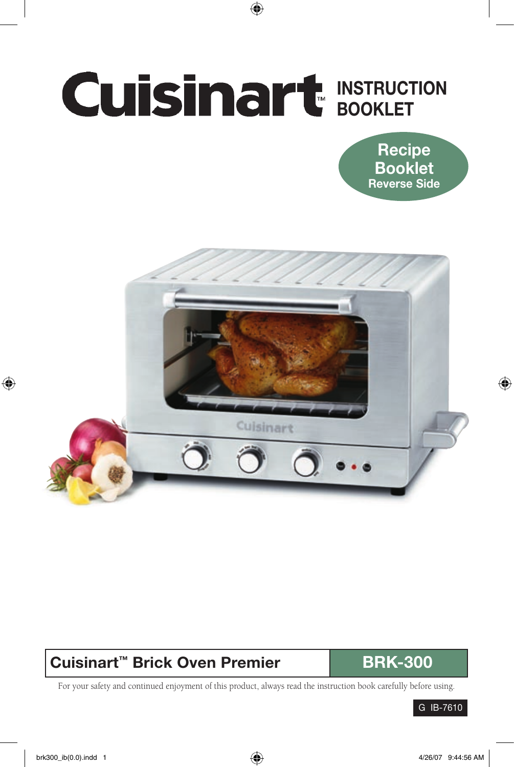# INSTRUCTION BOOKLET





## Cuisinart<sup>™</sup> Brick Oven Premier **BRK-300**

For your safety and continued enjoyment of this product, always read the instruction book carefully before using.

G IB-7610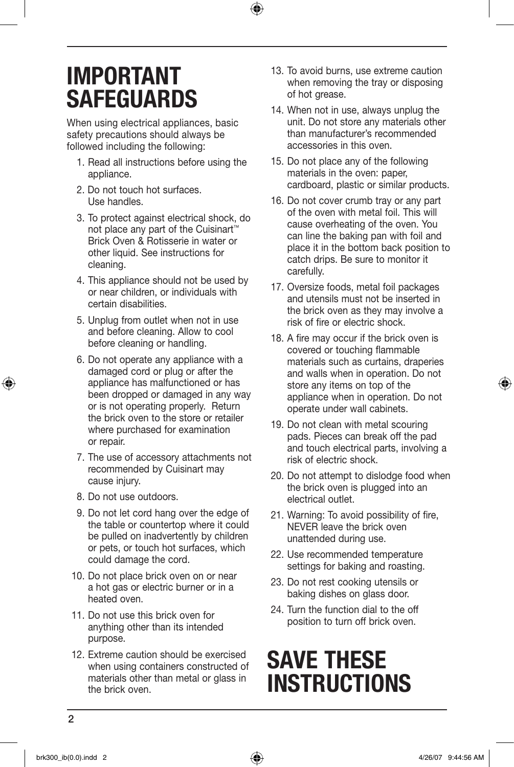# IMPORTANT **SAFEGUARDS**

When using electrical appliances, basic safety precautions should always be followed including the following:

- 1. Read all instructions before using the appliance.
- 2. Do not touch hot surfaces. Use handles.
- 3. To protect against electrical shock, do not place any part of the Cuisinart™ Brick Oven & Rotisserie in water or other liquid. See instructions for cleaning.
- 4. This appliance should not be used by or near children, or individuals with certain disabilities.
- 5. Unplug from outlet when not in use and before cleaning. Allow to cool before cleaning or handling.
- 6. Do not operate any appliance with a damaged cord or plug or after the appliance has malfunctioned or has been dropped or damaged in any way or is not operating properly. Return the brick oven to the store or retailer where purchased for examination or repair.
- 7. The use of accessory attachments not recommended by Cuisinart may cause injury.
- 8. Do not use outdoors.
- 9. Do not let cord hang over the edge of the table or countertop where it could be pulled on inadvertently by children or pets, or touch hot surfaces, which could damage the cord.
- 10. Do not place brick oven on or near a hot gas or electric burner or in a heated oven.
- 11. Do not use this brick oven for anything other than its intended purpose.
- 12. Extreme caution should be exercised when using containers constructed of materials other than metal or glass in the brick oven.
- 13. To avoid burns, use extreme caution when removing the tray or disposing of hot grease.
- 14. When not in use, always unplug the unit. Do not store any materials other than manufacturer's recommended accessories in this oven.
- 15. Do not place any of the following materials in the oven: paper, cardboard, plastic or similar products.
- 16. Do not cover crumb tray or any part of the oven with metal foil. This will cause overheating of the oven. You can line the baking pan with foil and place it in the bottom back position to catch drips. Be sure to monitor it carefully.
- 17. Oversize foods, metal foil packages and utensils must not be inserted in the brick oven as they may involve a risk of fire or electric shock.
- 18. A fire may occur if the brick oven is covered or touching flammable materials such as curtains, draperies and walls when in operation. Do not store any items on top of the appliance when in operation. Do not operate under wall cabinets.
- 19. Do not clean with metal scouring pads. Pieces can break off the pad and touch electrical parts, involving a risk of electric shock.
- 20. Do not attempt to dislodge food when the brick oven is plugged into an electrical outlet.
- 21. Warning: To avoid possibility of fire, NEVER leave the brick oven unattended during use.
- 22. Use recommended temperature settings for baking and roasting.
- 23. Do not rest cooking utensils or baking dishes on glass door.
- 24. Turn the function dial to the off position to turn off brick oven.

# SAVE THESE **INSTRUCTIONS**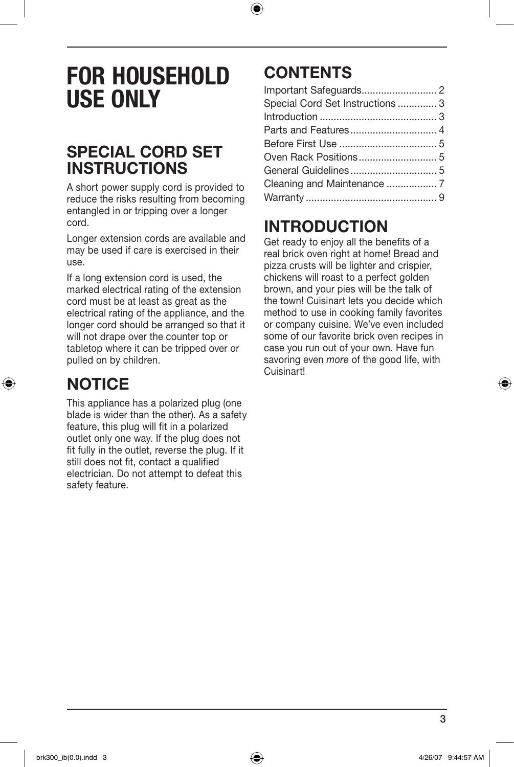# FOR HOUSEHOLD USE ONLY

## SPECIAL CORD SET **INSTRUCTIONS**

A short power supply cord is provided to reduce the risks resulting from becoming entangled in or tripping over a longer cord.

Longer extension cords are available and may be used if care is exercised in their use.

If a long extension cord is used, the marked electrical rating of the extension cord must be at least as great as the electrical rating of the appliance, and the longer cord should be arranged so that it will not drape over the counter top or tabletop where it can be tripped over or pulled on by children.

## **NOTICE**

This appliance has a polarized plug (one blade is wider than the other). As a safety feature, this plug will fit in a polarized outlet only one way. If the plug does not fit fully in the outlet, reverse the plug. If it still does not fit, contact a qualified electrician. Do not attempt to defeat this safety feature.

## **CONTENTS**

| Special Cord Set Instructions  3 |  |
|----------------------------------|--|
|                                  |  |
|                                  |  |
|                                  |  |
|                                  |  |
|                                  |  |
|                                  |  |
|                                  |  |

## INTRODUCTION

Get ready to enjoy all the benefits of a real brick oven right at home! Bread and pizza crusts will be lighter and crispier, chickens will roast to a perfect golden brown, and your pies will be the talk of the town! Cuisinart lets you decide which method to use in cooking family favorites or company cuisine. We've even included some of our favorite brick oven recipes in case you run out of your own. Have fun savoring even *more* of the good life, with Cuisinart!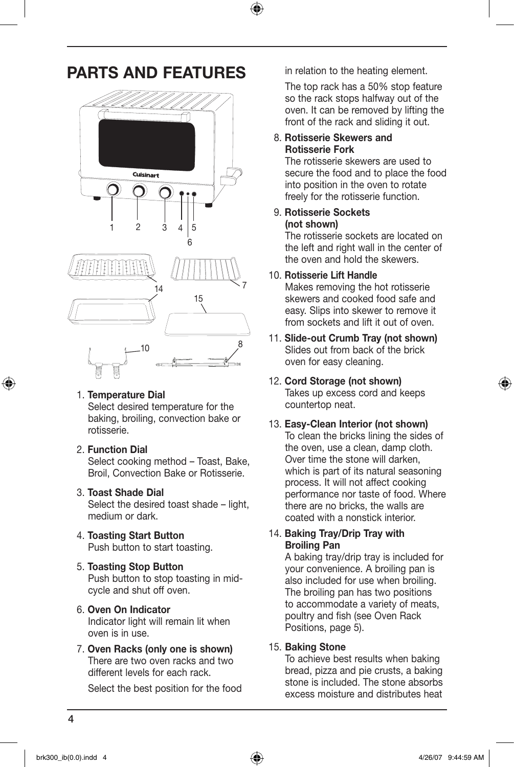## PARTS AND FEATURES



#### 1. Temperature Dial

Select desired temperature for the baking, broiling, convection bake or rotisserie.

2. Function Dial

Select cooking method – Toast, Bake, Broil, Convection Bake or Rotisserie.

#### 3. Toast Shade Dial

Select the desired toast shade – light, medium or dark.

- 4. Toasting Start Button Push button to start toasting.
- 5. Toasting Stop Button Push button to stop toasting in midcycle and shut off oven.

#### 6. Oven On Indicator

Indicator light will remain lit when oven is in use.

7. Oven Racks (only one is shown) There are two oven racks and two different levels for each rack.

Select the best position for the food

in relation to the heating element.

 The top rack has a 50% stop feature so the rack stops halfway out of the oven. It can be removed by lifting the front of the rack and sliding it out.

#### 8. Rotisserie Skewers and Rotisserie Fork

The rotisserie skewers are used to secure the food and to place the food into position in the oven to rotate freely for the rotisserie function.

#### 9. Rotisserie Sockets (not shown)

The rotisserie sockets are located on the left and right wall in the center of the oven and hold the skewers.

#### 10. Rotisserie Lift Handle

Makes removing the hot rotisserie skewers and cooked food safe and easy. Slips into skewer to remove it from sockets and lift it out of oven.

11. Slide-out Crumb Tray (not shown) Slides out from back of the brick oven for easy cleaning.

#### 12. Cord Storage (not shown)

Takes up excess cord and keeps countertop neat.

#### 13. Easy-Clean Interior (not shown) To clean the bricks lining the sides of the oven, use a clean, damp cloth. Over time the stone will darken, which is part of its natural seasoning process. It will not affect cooking performance nor taste of food. Where there are no bricks, the walls are coated with a nonstick interior.

#### 14. Baking Tray/Drip Tray with Broiling Pan

A baking tray/drip tray is included for your convenience. A broiling pan is also included for use when broiling. The broiling pan has two positions to accommodate a variety of meats, poultry and fish (see Oven Rack Positions, page 5).

#### 15. Baking Stone

To achieve best results when baking bread, pizza and pie crusts, a baking stone is included. The stone absorbs excess moisture and distributes heat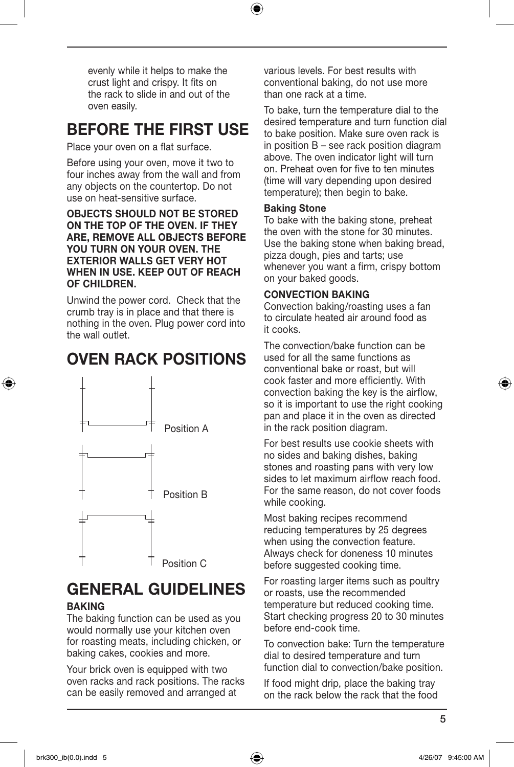evenly while it helps to make the crust light and crispy. It fits on the rack to slide in and out of the oven easily.

## BEFORE THE FIRST USE

Place your oven on a flat surface.

Before using your oven, move it two to four inches away from the wall and from any objects on the countertop. Do not use on heat-sensitive surface.

#### OBJECTS SHOULD NOT BE STORED ON THE TOP OF THE OVEN. IF THEY ARE, REMOVE ALL OBJECTS BEFORE YOU TURN ON YOUR OVEN. THE EXTERIOR WALLS GET VERY HOT WHEN IN USE. KEEP OUT OF REACH OF CHILDREN.

Unwind the power cord. Check that the crumb tray is in place and that there is nothing in the oven. Plug power cord into the wall outlet.

## Oven rack positions



#### GENERAL GUIDELINES **BAKING**

The baking function can be used as you would normally use your kitchen oven for roasting meats, including chicken, or baking cakes, cookies and more.

Your brick oven is equipped with two oven racks and rack positions. The racks can be easily removed and arranged at

various levels. For best results with conventional baking, do not use more than one rack at a time.

To bake, turn the temperature dial to the desired temperature and turn function dial to bake position. Make sure oven rack is in position B – see rack position diagram above. The oven indicator light will turn on. Preheat oven for five to ten minutes (time will vary depending upon desired temperature); then begin to bake.

#### Baking Stone

To bake with the baking stone, preheat the oven with the stone for 30 minutes. Use the baking stone when baking bread, pizza dough, pies and tarts; use whenever you want a firm, crispy bottom on your baked goods.

#### Convection Baking

Convection baking/roasting uses a fan to circulate heated air around food as it cooks.

The convection/bake function can be used for all the same functions as conventional bake or roast, but will cook faster and more efficiently. With convection baking the key is the airflow, so it is important to use the right cooking pan and place it in the oven as directed in the rack position diagram.

For best results use cookie sheets with no sides and baking dishes, baking stones and roasting pans with very low sides to let maximum airflow reach food. For the same reason, do not cover foods while cooking.

Most baking recipes recommend reducing temperatures by 25 degrees when using the convection feature. Always check for doneness 10 minutes before suggested cooking time.

For roasting larger items such as poultry or roasts, use the recommended temperature but reduced cooking time. Start checking progress 20 to 30 minutes before end-cook time.

To convection bake: Turn the temperature dial to desired temperature and turn function dial to convection/bake position.

If food might drip, place the baking tray on the rack below the rack that the food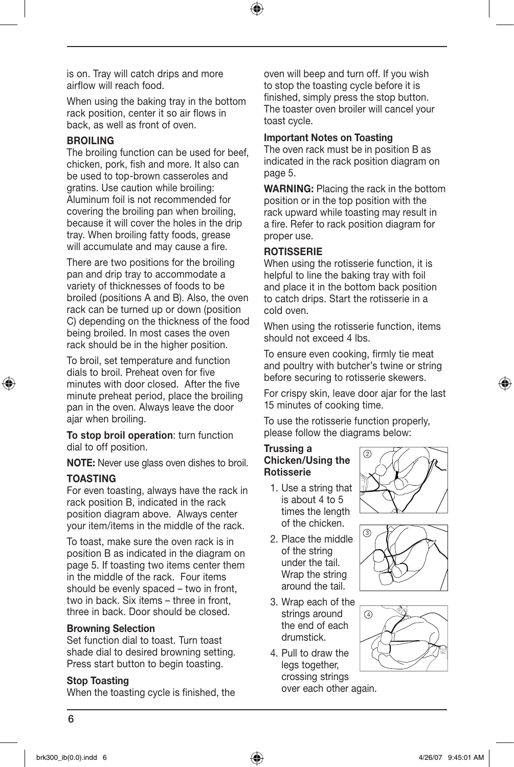is on. Tray will catch drips and more airflow will reach food.

When using the baking tray in the bottom rack position, center it so air flows in back, as well as front of oven.

#### BROILING

The broiling function can be used for beef, chicken, pork, fish and more. It also can be used to top-brown casseroles and gratins. Use caution while broiling: Aluminum foil is not recommended for covering the broiling pan when broiling, because it will cover the holes in the drip tray. When broiling fatty foods, grease will accumulate and may cause a fire.

There are two positions for the broiling pan and drip tray to accommodate a variety of thicknesses of foods to be broiled (positions A and B). Also, the oven rack can be turned up or down (position C) depending on the thickness of the food being broiled. In most cases the oven rack should be in the higher position.

To broil, set temperature and function dials to broil. Preheat oven for five minutes with door closed. After the five minute preheat period, place the broiling pan in the oven. Always leave the door ajar when broiling.

To stop broil operation: turn function dial to off position.

NOTE: Never use glass oven dishes to broil.

#### **TOASTING**

For even toasting, always have the rack in rack position B, indicated in the rack position diagram above. Always center your item/items in the middle of the rack.

To toast, make sure the oven rack is in position B as indicated in the diagram on page 5. If toasting two items center them in the middle of the rack. Four items should be evenly spaced – two in front, two in back. Six items – three in front, three in back. Door should be closed.

#### Browning Selection

Set function dial to toast. Turn toast shade dial to desired browning setting. Press start button to begin toasting.

#### Stop Toasting

When the toasting cycle is finished, the

oven will beep and turn off. If you wish to stop the toasting cycle before it is finished, simply press the stop button. The toaster oven broiler will cancel your toast cycle.

#### Important Notes on Toasting

The oven rack must be in position B as indicated in the rack position diagram on page 5.

WARNING: Placing the rack in the bottom position or in the top position with the rack upward while toasting may result in a fire. Refer to rack position diagram for proper use.

#### **ROTISSERIE**

When using the rotisserie function, it is helpful to line the baking tray with foil and place it in the bottom back position to catch drips. Start the rotisserie in a cold oven.

When using the rotisserie function, items should not exceed 4 lbs.

To ensure even cooking, firmly tie meat and poultry with butcher's twine or string before securing to rotisserie skewers.

For crispy skin, leave door ajar for the last 15 minutes of cooking time.

To use the rotisserie function properly, please follow the diagrams below:

#### Trussing a Chicken/Using the Rotisserie

- 1. Use a string that is about 4 to 5 times the length of the chicken.
- 2. Place the middle of the string under the tail. Wrap the string around the tail.
- 3. Wrap each of the strings around the end of each drumstick.
- 4. Pull to draw the legs together, crossing strings over each other again.





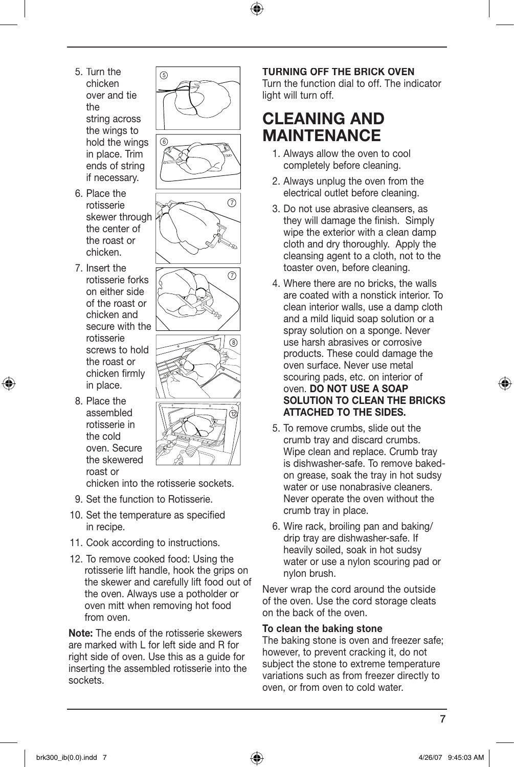- 5. Turn the chicken over and tie the string across the wings to hold the wings in place. Trim ends of string if necessary.
- 6. Place the rotisserie skewer through the center of the roast or chicken.
- 7. Insert the rotisserie forks on either side of the roast or chicken and secure with the rotisserie screws to hold the roast or chicken firmly in place.
- 8. Place the assembled rotisserie in the cold oven. Secure the skewered roast or

5 6





chicken into the rotisserie sockets.

- 9. Set the function to Rotisserie.
- 10. Set the temperature as specified in recipe.
- 11. Cook according to instructions.
- 12. To remove cooked food: Using the rotisserie lift handle, hook the grips on the skewer and carefully lift food out of the oven. Always use a potholder or oven mitt when removing hot food from oven.

Note: The ends of the rotisserie skewers are marked with L for left side and R for right side of oven. Use this as a guide for inserting the assembled rotisserie into the sockets.

#### Turning off the brick oven

Turn the function dial to off. The indicator light will turn off.

## CLEANING AND MAINTENANCE

- 1. Always allow the oven to cool completely before cleaning.
- 2. Always unplug the oven from the electrical outlet before cleaning.
- 3. Do not use abrasive cleansers, as they will damage the finish. Simply wipe the exterior with a clean damp cloth and dry thoroughly. Apply the cleansing agent to a cloth, not to the toaster oven, before cleaning.
- 4. Where there are no bricks, the walls are coated with a nonstick interior. To clean interior walls, use a damp cloth and a mild liquid soap solution or a spray solution on a sponge. Never use harsh abrasives or corrosive products. These could damage the oven surface. Never use metal scouring pads, etc. on interior of oven. DO NOT USE A SOAP SOLUTION TO CLEAN THE BRICKS ATTACHED TO THE SIDES.
- 5. To remove crumbs, slide out the crumb tray and discard crumbs. Wipe clean and replace. Crumb tray is dishwasher-safe. To remove bakedon grease, soak the tray in hot sudsy water or use nonabrasive cleaners. Never operate the oven without the crumb tray in place.
- 6. Wire rack, broiling pan and baking/ drip tray are dishwasher-safe. If heavily soiled, soak in hot sudsy water or use a nylon scouring pad or nylon brush.

Never wrap the cord around the outside of the oven. Use the cord storage cleats on the back of the oven.

#### To clean the baking stone

The baking stone is oven and freezer safe; however, to prevent cracking it, do not subject the stone to extreme temperature variations such as from freezer directly to oven, or from oven to cold water.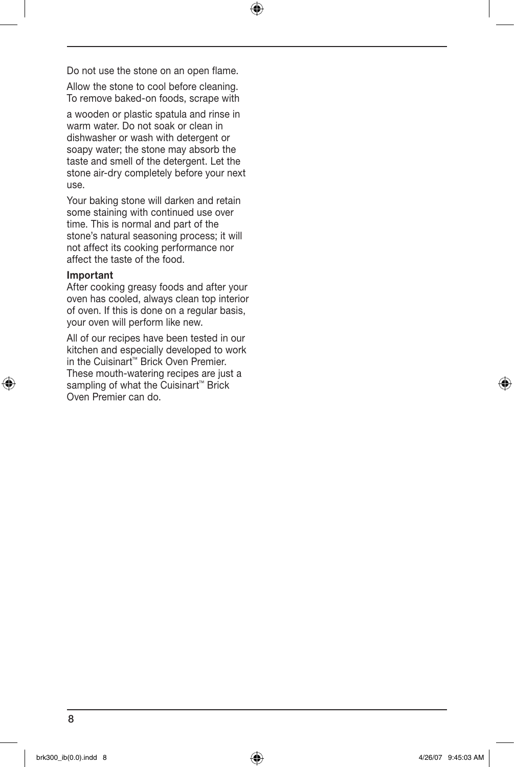Do not use the stone on an open flame.

Allow the stone to cool before cleaning. To remove baked-on foods, scrape with

a wooden or plastic spatula and rinse in warm water. Do not soak or clean in dishwasher or wash with detergent or soapy water; the stone may absorb the taste and smell of the detergent. Let the stone air-dry completely before your next use.

Your baking stone will darken and retain some staining with continued use over time. This is normal and part of the stone's natural seasoning process; it will not affect its cooking performance nor affect the taste of the food.

#### Important

After cooking greasy foods and after your oven has cooled, always clean top interior of oven. If this is done on a regular basis, your oven will perform like new.

All of our recipes have been tested in our kitchen and especially developed to work in the Cuisinart™ Brick Oven Premier. These mouth-watering recipes are just a sampling of what the Cuisinart<sup>™</sup> Brick Oven Premier can do.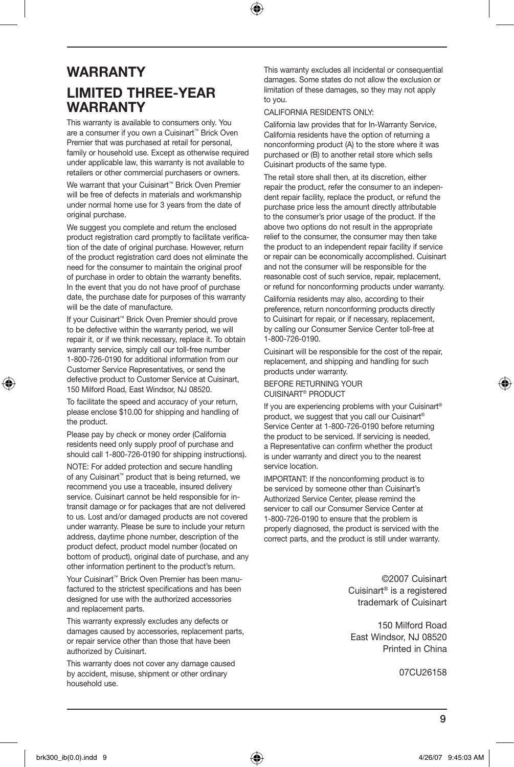### **WARRANTY** Limited Three-Year **WARRANTY**

This warranty is available to consumers only. You are a consumer if you own a Cuisinart™ Brick Oven Premier that was purchased at retail for personal, family or household use. Except as otherwise required under applicable law, this warranty is not available to retailers or other commercial purchasers or owners.

We warrant that your Cuisinart™ Brick Oven Premier will be free of defects in materials and workmanship under normal home use for 3 years from the date of original purchase.

We suggest you complete and return the enclosed product registration card promptly to facilitate verification of the date of original purchase. However, return of the product registration card does not eliminate the need for the consumer to maintain the original proof of purchase in order to obtain the warranty benefits. In the event that you do not have proof of purchase date, the purchase date for purposes of this warranty will be the date of manufacture.

If your Cuisinart™ Brick Oven Premier should prove to be defective within the warranty period, we will repair it, or if we think necessary, replace it. To obtain warranty service, simply call our toll-free number 1-800-726-0190 for additional information from our Customer Service Representatives, or send the defective product to Customer Service at Cuisinart, 150 Milford Road, East Windsor, NJ 08520.

To facilitate the speed and accuracy of your return, please enclose \$10.00 for shipping and handling of the product.

Please pay by check or money order (California residents need only supply proof of purchase and should call 1-800-726-0190 for shipping instructions).

NOTE: For added protection and secure handling of any Cuisinart™ product that is being returned, we recommend you use a traceable, insured delivery service. Cuisinart cannot be held responsible for intransit damage or for packages that are not delivered to us. Lost and/or damaged products are not covered under warranty. Please be sure to include your return address, daytime phone number, description of the product defect, product model number (located on bottom of product), original date of purchase, and any other information pertinent to the product's return.

Your Cuisinart™ Brick Oven Premier has been manufactured to the strictest specifications and has been designed for use with the authorized accessories and replacement parts.

This warranty expressly excludes any defects or damages caused by accessories, replacement parts, or repair service other than those that have been authorized by Cuisinart.

This warranty does not cover any damage caused by accident, misuse, shipment or other ordinary household use.

This warranty excludes all incidental or consequential damages. Some states do not allow the exclusion or limitation of these damages, so they may not apply to you.

#### CALIFORNIA RESIDENTS ONLY:

California law provides that for In-Warranty Service, California residents have the option of returning a nonconforming product (A) to the store where it was purchased or (B) to another retail store which sells Cuisinart products of the same type.

The retail store shall then, at its discretion, either repair the product, refer the consumer to an independent repair facility, replace the product, or refund the purchase price less the amount directly attributable to the consumer's prior usage of the product. If the above two options do not result in the appropriate relief to the consumer, the consumer may then take the product to an independent repair facility if service or repair can be economically accomplished. Cuisinart and not the consumer will be responsible for the reasonable cost of such service, repair, replacement, or refund for nonconforming products under warranty.

California residents may also, according to their preference, return nonconforming products directly to Cuisinart for repair, or if necessary, replacement, by calling our Consumer Service Center toll-free at 1-800-726-0190.

Cuisinart will be responsible for the cost of the repair, replacement, and shipping and handling for such products under warranty.

#### BEFORE RETURNING YOUR CUISINART<sup>®</sup> PRODUCT

If you are experiencing problems with your Cuisinart® product, we suggest that you call our Cuisinart® Service Center at 1-800-726-0190 before returning the product to be serviced. If servicing is needed, a Representative can confirm whether the product is under warranty and direct you to the nearest service location.

IMPORTANT: If the nonconforming product is to be serviced by someone other than Cuisinart's Authorized Service Center, please remind the servicer to call our Consumer Service Center at 1-800-726-0190 to ensure that the problem is properly diagnosed, the product is serviced with the correct parts, and the product is still under warranty.

> ©2007 Cuisinart Cuisinart® is a registered trademark of Cuisinart

150 Milford Road East Windsor, NJ 08520 Printed in China

07CU26158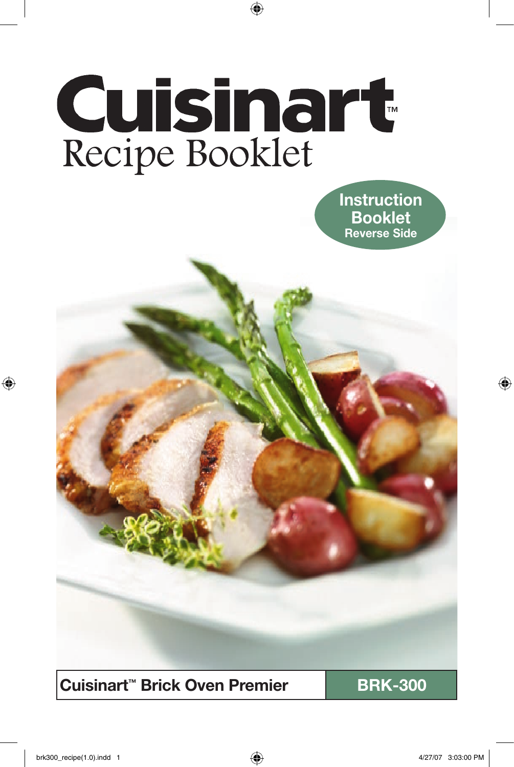# Cuisinart<br>Recipe Booklet

**Instruction** Booklet Reverse Side

Cuisinart<sup>™</sup> Brick Oven Premier **National BRK-300**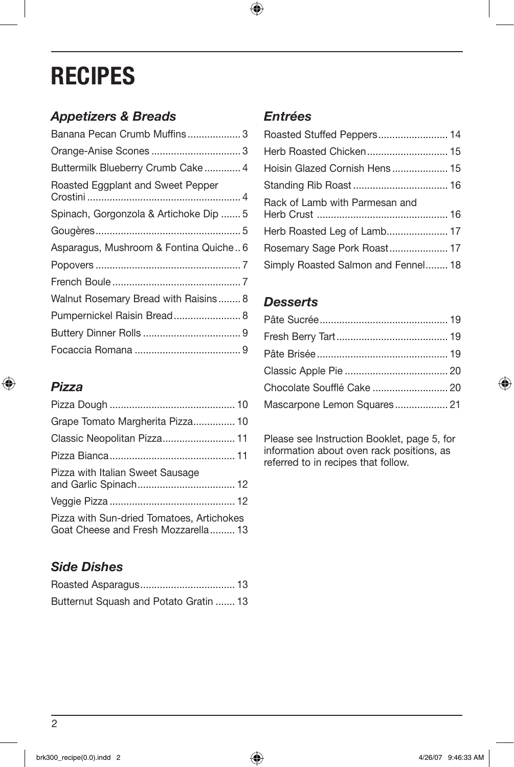# **RECIPES**

### *Appetizers & Breads*

| Banana Pecan Crumb Muffins 3           |  |
|----------------------------------------|--|
|                                        |  |
| Buttermilk Blueberry Crumb Cake 4      |  |
| Roasted Eggplant and Sweet Pepper      |  |
| Spinach, Gorgonzola & Artichoke Dip  5 |  |
|                                        |  |
| Asparagus, Mushroom & Fontina Quiche 6 |  |
|                                        |  |
|                                        |  |
| Walnut Rosemary Bread with Raisins 8   |  |
| Pumpernickel Raisin Bread 8            |  |
|                                        |  |
|                                        |  |

## *Pizza*

| Grape Tomato Margherita Pizza 10                                                 |
|----------------------------------------------------------------------------------|
| Classic Neopolitan Pizza 11                                                      |
|                                                                                  |
| Pizza with Italian Sweet Sausage                                                 |
|                                                                                  |
| Pizza with Sun-dried Tomatoes, Artichokes<br>Goat Cheese and Fresh Mozzarella 13 |

## *Side Dishes*

| Butternut Squash and Potato Gratin  13 |  |
|----------------------------------------|--|

### *Entrées*

| Roasted Stuffed Peppers 14          |  |
|-------------------------------------|--|
|                                     |  |
|                                     |  |
|                                     |  |
| Rack of Lamb with Parmesan and      |  |
|                                     |  |
|                                     |  |
| Simply Roasted Salmon and Fennel 18 |  |

#### *Desserts*

| Chocolate Soufflé Cake  20  |  |
|-----------------------------|--|
| Mascarpone Lemon Squares 21 |  |

Please see Instruction Booklet, page 5, for information about oven rack positions, as referred to in recipes that follow.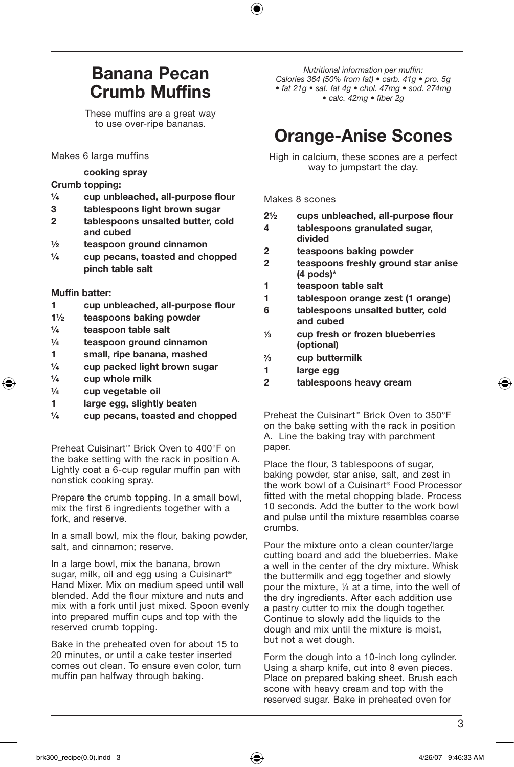## Banana Pecan Crumb Muffins

These muffins are a great way to use over-ripe bananas.

Makes 6 large muffins

#### cooking spray

#### Crumb topping:

- ¼ cup unbleached, all-purpose flour
- 3 tablespoons light brown sugar
- 2 tablespoons unsalted butter, cold and cubed
- ½ teaspoon ground cinnamon
- $\frac{1}{4}$  cup pecans, toasted and chopped pinch table salt

#### Muffin batter:

- 1 cup unbleached, all-purpose flour
- 1½ teaspoons baking powder
- ¼ teaspoon table salt
- ¼ teaspoon ground cinnamon
- 1 small, ripe banana, mashed
- ¼ cup packed light brown sugar
- $\frac{1}{4}$  cup whole milk
- ¼ cup vegetable oil
- 1 large egg, slightly beaten
- $\frac{1}{4}$  cup pecans, toasted and chopped

Preheat Cuisinart™ Brick Oven to 400°F on the bake setting with the rack in position A. Lightly coat a 6-cup regular muffin pan with nonstick cooking spray.

Prepare the crumb topping. In a small bowl, mix the first 6 ingredients together with a fork, and reserve.

In a small bowl, mix the flour, baking powder, salt, and cinnamon; reserve.

In a large bowl, mix the banana, brown sugar, milk, oil and egg using a Cuisinart<sup>®</sup> Hand Mixer. Mix on medium speed until well blended. Add the flour mixture and nuts and mix with a fork until just mixed. Spoon evenly into prepared muffin cups and top with the reserved crumb topping.

Bake in the preheated oven for about 15 to 20 minutes, or until a cake tester inserted comes out clean. To ensure even color, turn muffin pan halfway through baking.

*Nutritional information per muffin: Calories 364 (50% from fat) • carb. 41g • pro. 5g • fat 21g • sat. fat 4g • chol. 47mg • sod. 274mg • calc. 42mg • fiber 2g*

## Orange-Anise Scones

High in calcium, these scones are a perfect way to jumpstart the day.

Makes 8 scones

| $2\frac{1}{2}$ |  | cups unbleached, all-purpose flour |  |  |
|----------------|--|------------------------------------|--|--|
|----------------|--|------------------------------------|--|--|

- 4 tablespoons granulated sugar, divided
- 2 teaspoons baking powder
- 2 teaspoons freshly ground star anise (4 pods)\*
- 1 teaspoon table salt
- 1 tablespoon orange zest (1 orange)
- 6 tablespoons unsalted butter, cold and cubed
- 1⁄3 cup fresh or frozen blueberries (optional)
- 2⁄3 cup buttermilk
- 1 large egg
- 2 tablespoons heavy cream

Preheat the Cuisinart™ Brick Oven to 350°F on the bake setting with the rack in position A. Line the baking tray with parchment paper.

Place the flour, 3 tablespoons of sugar, baking powder, star anise, salt, and zest in the work bowl of a Cuisinart® Food Processor fitted with the metal chopping blade. Process 10 seconds. Add the butter to the work bowl and pulse until the mixture resembles coarse crumbs.

Pour the mixture onto a clean counter/large cutting board and add the blueberries. Make a well in the center of the dry mixture. Whisk the buttermilk and egg together and slowly pour the mixture, ¼ at a time, into the well of the dry ingredients. After each addition use a pastry cutter to mix the dough together. Continue to slowly add the liquids to the dough and mix until the mixture is moist, but not a wet dough.

Form the dough into a 10-inch long cylinder. Using a sharp knife, cut into 8 even pieces. Place on prepared baking sheet. Brush each scone with heavy cream and top with the reserved sugar. Bake in preheated oven for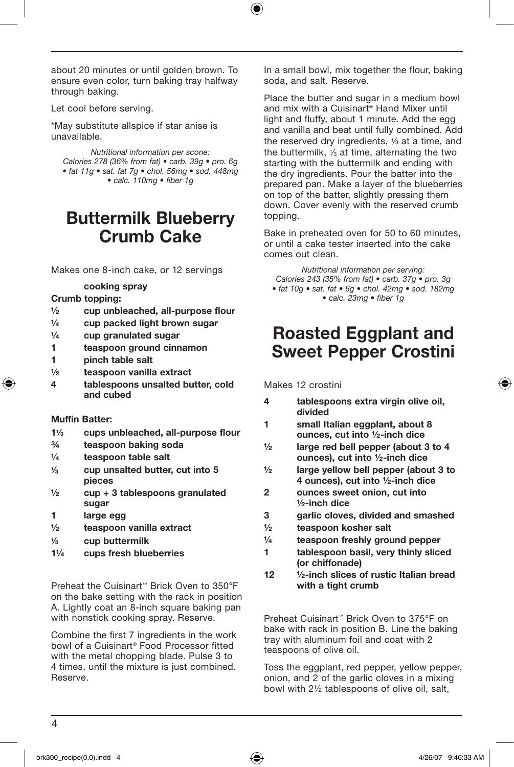about 20 minutes or until golden brown. To ensure even color, turn baking tray halfway through baking.

Let cool before serving.

\*May substitute allspice if star anise is unavailable.

*Nutritional information per scone: Calories 278 (36% from fat) • carb. 39g • pro. 6g • fat 11g • sat. fat 7g • chol. 56mg • sod. 448mg • calc. 110mg • fiber 1g* 

## Buttermilk Blueberry Crumb Cake

Makes one 8-inch cake, or 12 servings

#### cooking spray

#### Crumb topping:

- ½ cup unbleached, all-purpose flour
- $\frac{1}{4}$  cup packed light brown sugar
- ¼ cup granulated sugar
- 1 teaspoon ground cinnamon
- 1 pinch table salt
- ½ teaspoon vanilla extract
- 4 tablespoons unsalted butter, cold and cubed

#### Muffin Batter:

- 1<sup>1</sup>/<sub>3</sub> cups unbleached, all-purpose flour
- ¾ teaspoon baking soda
- ¼ teaspoon table salt
- 1⁄3 cup unsalted butter, cut into 5 pieces
- $\frac{1}{2}$  cup + 3 tablespoons granulated sugar
- 1 large egg
- ½ teaspoon vanilla extract
- 1⁄3 cup buttermilk
- 1¼ cups fresh blueberries

Preheat the Cuisinart™ Brick Oven to 350°F on the bake setting with the rack in position A. Lightly coat an 8-inch square baking pan with nonstick cooking spray. Reserve.

Combine the first 7 ingredients in the work bowl of a Cuisinart® Food Processor fitted with the metal chopping blade. Pulse 3 to 4 times, until the mixture is just combined. Reserve.

In a small bowl, mix together the flour, baking soda, and salt. Reserve.

Place the butter and sugar in a medium bowl and mix with a Cuisinart® Hand Mixer until light and fluffy, about 1 minute. Add the egg and vanilla and beat until fully combined. Add the reserved dry ingredients,  $\frac{1}{3}$  at a time, and the buttermilk, 1/3 at time, alternating the two starting with the buttermilk and ending with the dry ingredients. Pour the batter into the prepared pan. Make a layer of the blueberries on top of the batter, slightly pressing them down. Cover evenly with the reserved crumb topping.

Bake in preheated oven for 50 to 60 minutes, or until a cake tester inserted into the cake comes out clean.

*Nutritional information per serving: Calories 243 (35% from fat) • carb. 37g • pro. 3g • fat 10g • sat. fat • 6g • chol. 42mg • sod. 182mg • calc. 23mg • fiber 1g*

## Roasted Eggplant and Sweet Pepper Crostini

Makes 12 crostini

- 4 tablespoons extra virgin olive oil, divided
- 1 small Italian eggplant, about 8 ounces, cut into ½-inch dice
- ½ large red bell pepper (about 3 to 4 ounces), cut into ½-inch dice
- ½ large yellow bell pepper (about 3 to 4 ounces), cut into ½-inch dice
- 2 ounces sweet onion, cut into ½-inch dice
- 3 garlic cloves, divided and smashed
- ½ teaspoon kosher salt
- ¼ teaspoon freshly ground pepper
- 1 tablespoon basil, very thinly sliced (or chiffonade)
- 12 ½-inch slices of rustic Italian bread with a tight crumb

Preheat Cuisinart™ Brick Oven to 375°F on bake with rack in position B. Line the baking tray with aluminum foil and coat with 2 teaspoons of olive oil.

Toss the eggplant, red pepper, yellow pepper, onion, and 2 of the garlic cloves in a mixing bowl with 2½ tablespoons of olive oil, salt,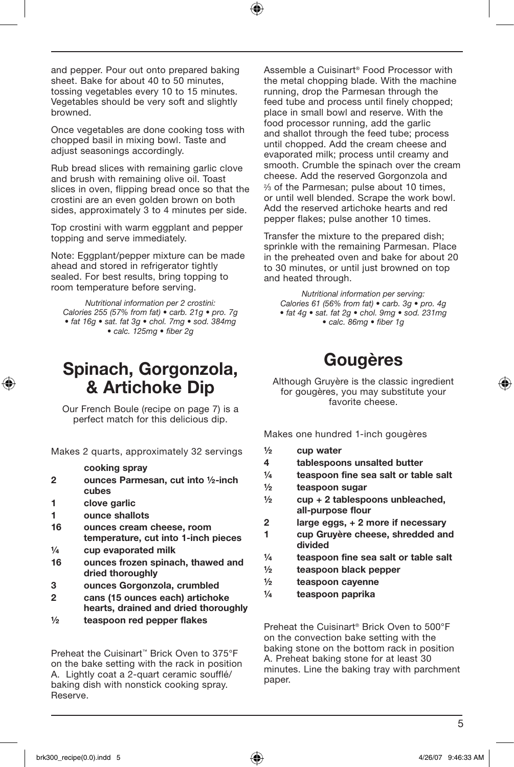and pepper. Pour out onto prepared baking sheet. Bake for about 40 to 50 minutes, tossing vegetables every 10 to 15 minutes. Vegetables should be very soft and slightly browned.

Once vegetables are done cooking toss with chopped basil in mixing bowl. Taste and adjust seasonings accordingly.

Rub bread slices with remaining garlic clove and brush with remaining olive oil. Toast slices in oven, flipping bread once so that the crostini are an even golden brown on both sides, approximately 3 to 4 minutes per side.

Top crostini with warm eggplant and pepper topping and serve immediately.

Note: Eggplant/pepper mixture can be made ahead and stored in refrigerator tightly sealed. For best results, bring topping to room temperature before serving.

*Nutritional information per 2 crostini: Calories 255 (57% from fat) • carb. 21g • pro. 7g • fat 16g • sat. fat 3g • chol. 7mg • sod. 384mg • calc. 125mg • fiber 2g*

## Spinach, Gorgonzola, & Artichoke Dip

Our French Boule (recipe on page 7) is a perfect match for this delicious dip.

Makes 2 quarts, approximately 32 servings

#### cooking spray

- 2 ounces Parmesan, cut into ½-inch cubes
- 1 clove garlic
- 1 ounce shallots
- 16 ounces cream cheese, room temperature, cut into 1-inch pieces
- ¼ cup evaporated milk
- 16 ounces frozen spinach, thawed and dried thoroughly
- 3 ounces Gorgonzola, crumbled
- 2 cans (15 ounces each) artichoke hearts, drained and dried thoroughly
- ½ teaspoon red pepper flakes

Preheat the Cuisinart™ Brick Oven to 375°F on the bake setting with the rack in position A. Lightly coat a 2-quart ceramic soufflé/ baking dish with nonstick cooking spray. Reserve.

Assemble a Cuisinart® Food Processor with the metal chopping blade. With the machine running, drop the Parmesan through the feed tube and process until finely chopped; place in small bowl and reserve. With the food processor running, add the garlic and shallot through the feed tube; process until chopped. Add the cream cheese and evaporated milk; process until creamy and smooth. Crumble the spinach over the cream cheese. Add the reserved Gorgonzola and % of the Parmesan: pulse about 10 times, or until well blended. Scrape the work bowl. Add the reserved artichoke hearts and red pepper flakes; pulse another 10 times.

Transfer the mixture to the prepared dish; sprinkle with the remaining Parmesan. Place in the preheated oven and bake for about 20 to 30 minutes, or until just browned on top and heated through.

*Nutritional information per serving: Calories 61 (56% from fat) • carb. 3g • pro. 4g • fat 4g • sat. fat 2g • chol. 9mg • sod. 231mg • calc. 86mg • fiber 1g*

## Gougères

Although Gruyère is the classic ingredient for gougères, you may substitute your favorite cheese.

Makes one hundred 1-inch gougères

- $\frac{1}{2}$  cup water
- 4 tablespoons unsalted butter
- ¼ teaspoon fine sea salt or table salt
- ½ teaspoon sugar
- $\frac{1}{2}$  cup + 2 tablespoons unbleached, all-purpose flour
- 2 large eggs, + 2 more if necessary
- 1 cup Gruyère cheese, shredded and divided
- ¼ teaspoon fine sea salt or table salt
- ½ teaspoon black pepper
- ½ teaspoon cayenne
- ¼ teaspoon paprika

Preheat the Cuisinart® Brick Oven to 500°F on the convection bake setting with the baking stone on the bottom rack in position A. Preheat baking stone for at least 30 minutes. Line the baking tray with parchment paper.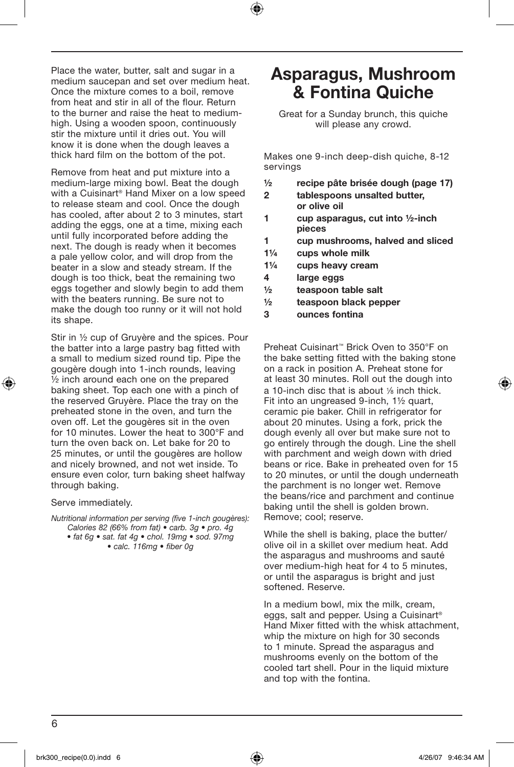Place the water, butter, salt and sugar in a medium saucepan and set over medium heat. Once the mixture comes to a boil, remove from heat and stir in all of the flour. Return to the burner and raise the heat to mediumhigh. Using a wooden spoon, continuously stir the mixture until it dries out. You will know it is done when the dough leaves a thick hard film on the bottom of the pot.

Remove from heat and put mixture into a medium-large mixing bowl. Beat the dough with a Cuisinart® Hand Mixer on a low speed to release steam and cool. Once the dough has cooled, after about 2 to 3 minutes, start adding the eggs, one at a time, mixing each until fully incorporated before adding the next. The dough is ready when it becomes a pale yellow color, and will drop from the beater in a slow and steady stream. If the dough is too thick, beat the remaining two eggs together and slowly begin to add them with the beaters running. Be sure not to make the dough too runny or it will not hold its shape.

Stir in ½ cup of Gruyère and the spices. Pour the batter into a large pastry bag fitted with a small to medium sized round tip. Pipe the gougère dough into 1-inch rounds, leaving ½ inch around each one on the prepared baking sheet. Top each one with a pinch of the reserved Gruyère. Place the tray on the preheated stone in the oven, and turn the oven off. Let the gougères sit in the oven for 10 minutes. Lower the heat to 300°F and turn the oven back on. Let bake for 20 to 25 minutes, or until the gougères are hollow and nicely browned, and not wet inside. To ensure even color, turn baking sheet halfway through baking.

Serve immediately.

*Nutritional information per serving (five 1-inch gougères): Calories 82 (66% from fat) • carb. 3g • pro. 4g* 

*• fat 6g • sat. fat 4g • chol. 19mg • sod. 97mg • calc. 116mg • fiber 0g* 

## Asparagus, Mushroom & Fontina Quiche

Great for a Sunday brunch, this quiche will please any crowd.

Makes one 9-inch deep-dish quiche, 8-12 servings

- ½ recipe pâte brisée dough (page 17)
- 2 tablespoons unsalted butter, or olive oil
- 1 cup asparagus, cut into ½-inch pieces
- 1 cup mushrooms, halved and sliced
- 1¼ cups whole milk
- 1¼ cups heavy cream
- 4 large eggs
- ½ teaspoon table salt
- ½ teaspoon black pepper
- 3 ounces fontina

Preheat Cuisinart™ Brick Oven to 350°F on the bake setting fitted with the baking stone on a rack in position A. Preheat stone for at least 30 minutes. Roll out the dough into a 10-inch disc that is about 1/8 inch thick. Fit into an ungreased 9-inch, 1½ quart, ceramic pie baker. Chill in refrigerator for about 20 minutes. Using a fork, prick the dough evenly all over but make sure not to go entirely through the dough. Line the shell with parchment and weigh down with dried beans or rice. Bake in preheated oven for 15 to 20 minutes, or until the dough underneath the parchment is no longer wet. Remove the beans/rice and parchment and continue baking until the shell is golden brown. Remove; cool; reserve.

While the shell is baking, place the butter/ olive oil in a skillet over medium heat. Add the asparagus and mushrooms and sauté over medium-high heat for 4 to 5 minutes, or until the asparagus is bright and just softened. Reserve.

In a medium bowl, mix the milk, cream, eggs, salt and pepper. Using a Cuisinart® Hand Mixer fitted with the whisk attachment, whip the mixture on high for 30 seconds to 1 minute. Spread the asparagus and mushrooms evenly on the bottom of the cooled tart shell. Pour in the liquid mixture and top with the fontina.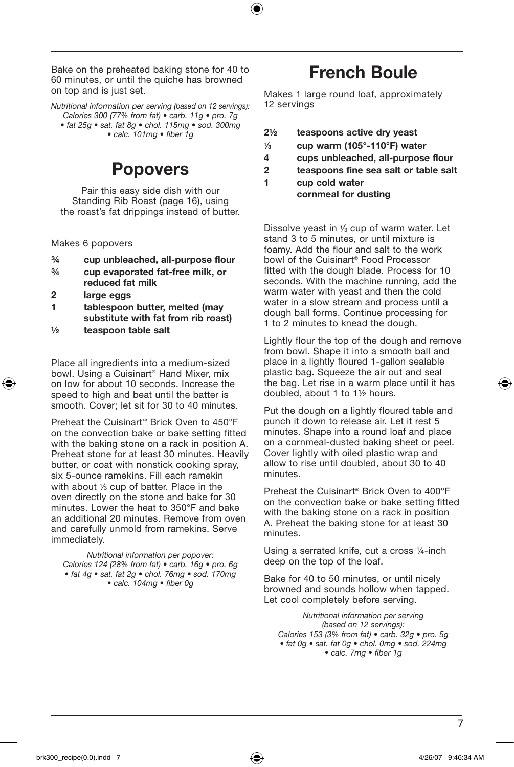Bake on the preheated baking stone for 40 to 60 minutes, or until the quiche has browned on top and is just set.

*Nutritional information per serving (based on 12 servings): Calories 300 (77% from fat) • carb. 11g • pro. 7g • fat 25g • sat. fat 8g • chol. 115mg • sod. 300mg* 

*• calc. 101mg • fiber 1g*

## Popovers

Pair this easy side dish with our Standing Rib Roast (page 16), using the roast's fat drippings instead of butter.

Makes 6 popovers

- ¾ cup unbleached, all-purpose flour
- ¾ cup evaporated fat-free milk, or reduced fat milk
- 2 large eggs
- 1 tablespoon butter, melted (may substitute with fat from rib roast)
- ½ teaspoon table salt

Place all ingredients into a medium-sized bowl. Using a Cuisinart® Hand Mixer, mix on low for about 10 seconds. Increase the speed to high and beat until the batter is smooth. Cover; let sit for 30 to 40 minutes.

Preheat the Cuisinart™ Brick Oven to 450°F on the convection bake or bake setting fitted with the baking stone on a rack in position A. Preheat stone for at least 30 minutes. Heavily butter, or coat with nonstick cooking spray, six 5-ounce ramekins. Fill each ramekin with about 1/3 cup of batter. Place in the oven directly on the stone and bake for 30 minutes. Lower the heat to 350°F and bake an additional 20 minutes. Remove from oven and carefully unmold from ramekins. Serve immediately.

*Nutritional information per popover: Calories 124 (28% from fat) • carb. 16g • pro. 6g • fat 4g • sat. fat 2g • chol. 76mg • sod. 170mg • calc. 104mg • fiber 0g* 

## French Boule

Makes 1 large round loaf, approximately 12 servings

| $2\frac{1}{2}$ | teaspoons active dry yeast                  |
|----------------|---------------------------------------------|
| 1/2            | $\sim$ un waxaa $140E^{\circ}$ 440°E) watee |

- $\frac{1}{3}$  cup warm (105°-110°F) water
- 4 cups unbleached, all-purpose flour
- 2 teaspoons fine sea salt or table salt
- 1 cup cold water cornmeal for dusting

Dissolve yeast in 1⁄3 cup of warm water. Let stand 3 to 5 minutes, or until mixture is foamy. Add the flour and salt to the work bowl of the Cuisinart® Food Processor fitted with the dough blade. Process for 10 seconds. With the machine running, add the warm water with yeast and then the cold water in a slow stream and process until a dough ball forms. Continue processing for 1 to 2 minutes to knead the dough.

Lightly flour the top of the dough and remove from bowl. Shape it into a smooth ball and place in a lightly floured 1-gallon sealable plastic bag. Squeeze the air out and seal the bag. Let rise in a warm place until it has doubled, about 1 to 1½ hours.

Put the dough on a lightly floured table and punch it down to release air. Let it rest 5 minutes. Shape into a round loaf and place on a cornmeal-dusted baking sheet or peel. Cover lightly with oiled plastic wrap and allow to rise until doubled, about 30 to 40 minutes.

Preheat the Cuisinart® Brick Oven to 400°F on the convection bake or bake setting fitted with the baking stone on a rack in position A. Preheat the baking stone for at least 30 minutes.

Using a serrated knife, cut a cross ¼-inch deep on the top of the loaf.

Bake for 40 to 50 minutes, or until nicely browned and sounds hollow when tapped. Let cool completely before serving.

*Nutritional information per serving (based on 12 servings): Calories 153 (3% from fat) • carb. 32g • pro. 5g • fat 0g • sat. fat 0g • chol. 0mg • sod. 224mg • calc. 7mg • fiber 1g*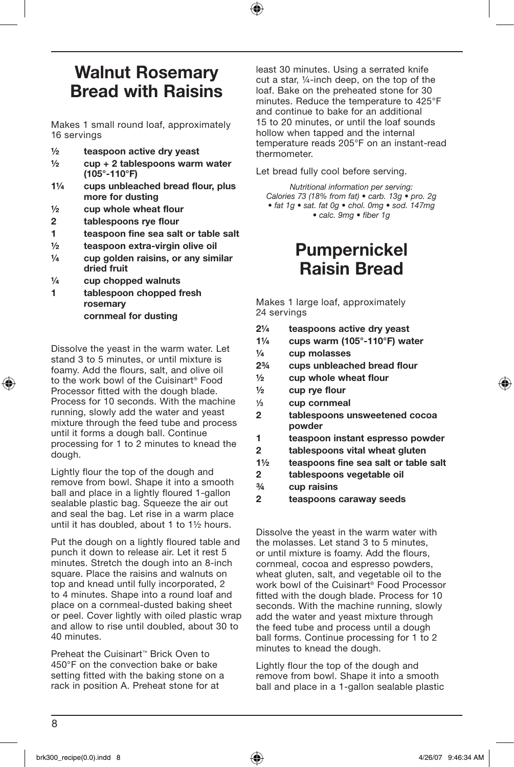## Walnut Rosemary Bread with Raisins

Makes 1 small round loaf, approximately 16 servings

- ½ teaspoon active dry yeast
- ½ cup + 2 tablespoons warm water (105°-110°F)
- 1¼ cups unbleached bread flour, plus more for dusting
- $\frac{1}{2}$  cup whole wheat flour
- 2 tablespoons rye flour
- 1 teaspoon fine sea salt or table salt
- ½ teaspoon extra-virgin olive oil
- $\frac{1}{4}$  cup golden raisins, or any similar dried fruit
- $\frac{1}{4}$  cup chopped walnuts
- 1 tablespoon chopped fresh rosemary cornmeal for dusting

Dissolve the yeast in the warm water. Let stand 3 to 5 minutes, or until mixture is foamy. Add the flours, salt, and olive oil to the work bowl of the Cuisinart® Food Processor fitted with the dough blade. Process for 10 seconds. With the machine running, slowly add the water and yeast mixture through the feed tube and process until it forms a dough ball. Continue processing for 1 to 2 minutes to knead the dough.

Lightly flour the top of the dough and remove from bowl. Shape it into a smooth ball and place in a lightly floured 1-gallon sealable plastic bag. Squeeze the air out and seal the bag. Let rise in a warm place until it has doubled, about 1 to 1½ hours.

Put the dough on a lightly floured table and punch it down to release air. Let it rest 5 minutes. Stretch the dough into an 8-inch square. Place the raisins and walnuts on top and knead until fully incorporated, 2 to 4 minutes. Shape into a round loaf and place on a cornmeal-dusted baking sheet or peel. Cover lightly with oiled plastic wrap and allow to rise until doubled, about 30 to 40 minutes.

Preheat the Cuisinart™ Brick Oven to 450°F on the convection bake or bake setting fitted with the baking stone on a rack in position A. Preheat stone for at

least 30 minutes. Using a serrated knife cut a star, ¼-inch deep, on the top of the loaf. Bake on the preheated stone for 30 minutes. Reduce the temperature to 425°F and continue to bake for an additional 15 to 20 minutes, or until the loaf sounds hollow when tapped and the internal temperature reads 205°F on an instant-read thermometer.

Let bread fully cool before serving.

*Nutritional information per serving: Calories 73 (18% from fat) • carb. 13g • pro. 2g • fat 1g • sat. fat 0g • chol. 0mg • sod. 147mg • calc. 9mg • fiber 1g*

## Pumpernickel Raisin Bread

Makes 1 large loaf, approximately 24 servings

- 2¼ teaspoons active dry yeast
- 1¼ cups warm (105°-110°F) water
- ¼ cup molasses
- 2¾ cups unbleached bread flour
- $\frac{1}{2}$  cup whole wheat flour
- $\frac{1}{2}$  cup rye flour
- $\frac{1}{3}$  cup cornmeal
- 2 tablespoons unsweetened cocoa powder
- 1 teaspoon instant espresso powder
- 2 tablespoons vital wheat gluten
- 1½ teaspoons fine sea salt or table salt
- 2 tablespoons vegetable oil
- ¾ cup raisins
- 2 teaspoons caraway seeds

Dissolve the yeast in the warm water with the molasses. Let stand 3 to 5 minutes, or until mixture is foamy. Add the flours, cornmeal, cocoa and espresso powders, wheat gluten, salt, and vegetable oil to the work bowl of the Cuisinart® Food Processor fitted with the dough blade. Process for 10 seconds. With the machine running, slowly add the water and yeast mixture through the feed tube and process until a dough ball forms. Continue processing for 1 to 2 minutes to knead the dough.

Lightly flour the top of the dough and remove from bowl. Shape it into a smooth ball and place in a 1-gallon sealable plastic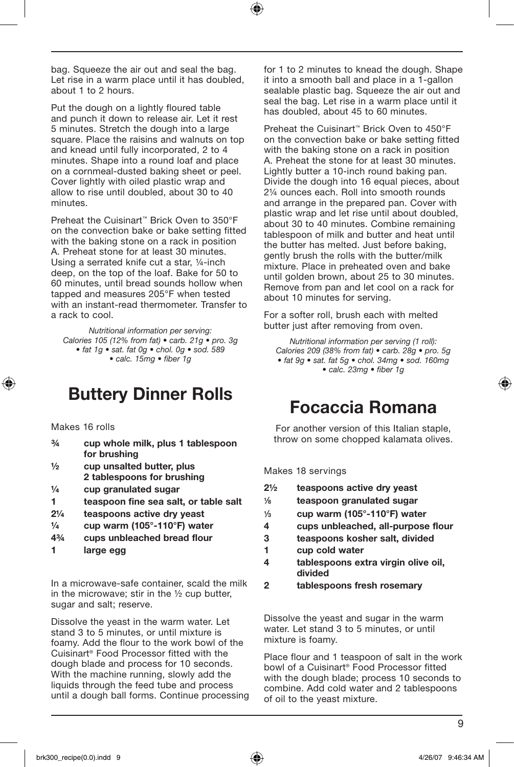bag. Squeeze the air out and seal the bag. Let rise in a warm place until it has doubled, about 1 to 2 hours.

Put the dough on a lightly floured table and punch it down to release air. Let it rest 5 minutes. Stretch the dough into a large square. Place the raisins and walnuts on top and knead until fully incorporated, 2 to 4 minutes. Shape into a round loaf and place on a cornmeal-dusted baking sheet or peel. Cover lightly with oiled plastic wrap and allow to rise until doubled, about 30 to 40 minutes.

Preheat the Cuisinart™ Brick Oven to 350°F on the convection bake or bake setting fitted with the baking stone on a rack in position A. Preheat stone for at least 30 minutes. Using a serrated knife cut a star, ¼-inch deep, on the top of the loaf. Bake for 50 to 60 minutes, until bread sounds hollow when tapped and measures 205°F when tested with an instant-read thermometer. Transfer to a rack to cool.

*Nutritional information per serving: Calories 105 (12% from fat) • carb. 21g • pro. 3g • fat 1g • sat. fat 0g • chol. 0g • sod. 589 • calc. 15mg • fiber 1g*

## Buttery Dinner Rolls

Makes 16 rolls

- ¾ cup whole milk, plus 1 tablespoon for brushing
- $\frac{1}{2}$  cup unsalted butter, plus 2 tablespoons for brushing
- $\frac{1}{4}$  cup granulated sugar
- 1 teaspoon fine sea salt, or table salt
- 2¼ teaspoons active dry yeast
- $\frac{1}{4}$  cup warm (105 $^{\circ}$ -110 $^{\circ}$ F) water
- 4¾ cups unbleached bread flour
- 1 large egg

In a microwave-safe container, scald the milk in the microwave; stir in the ½ cup butter, sugar and salt; reserve.

Dissolve the yeast in the warm water. Let stand 3 to 5 minutes, or until mixture is foamy. Add the flour to the work bowl of the Cuisinart® Food Processor fitted with the dough blade and process for 10 seconds. With the machine running, slowly add the liquids through the feed tube and process until a dough ball forms. Continue processing for 1 to 2 minutes to knead the dough. Shape it into a smooth ball and place in a  $1$ -gallon sealable plastic bag. Squeeze the air out and seal the bag. Let rise in a warm place until it has doubled, about 45 to 60 minutes.

Preheat the Cuisinart™ Brick Oven to 450°F on the convection bake or bake setting fitted with the baking stone on a rack in position A. Preheat the stone for at least 30 minutes. Lightly butter a 10-inch round baking pan. Divide the dough into 16 equal pieces, about 2¼ ounces each. Roll into smooth rounds and arrange in the prepared pan. Cover with plastic wrap and let rise until about doubled, about 30 to 40 minutes. Combine remaining tablespoon of milk and butter and heat until the butter has melted. Just before baking, gently brush the rolls with the butter/milk mixture. Place in preheated oven and bake until golden brown, about 25 to 30 minutes. Remove from pan and let cool on a rack for about 10 minutes for serving.

For a softer roll, brush each with melted butter just after removing from oven.

*Nutritional information per serving (1 roll): Calories 209 (38% from fat) • carb. 28g • pro. 5g • fat 9g • sat. fat 5g • chol. 34mg • sod. 160mg • calc. 23mg • fiber 1g*

## Focaccia Romana

For another version of this Italian staple, throw on some chopped kalamata olives.

Makes 18 servings

| $2\frac{1}{2}$ | teaspoons active dry yeast |
|----------------|----------------------------|
|                |                            |

- 1⁄8 teaspoon granulated sugar
- $\frac{1}{3}$  cup warm (105°-110°F) water
- 4 cups unbleached, all-purpose flour
- 3 teaspoons kosher salt, divided
- 1 cup cold water
- 4 tablespoons extra virgin olive oil, divided
- 2 tablespoons fresh rosemary

Dissolve the yeast and sugar in the warm water. Let stand 3 to 5 minutes, or until mixture is foamy.

Place flour and 1 teaspoon of salt in the work bowl of a Cuisinart® Food Processor fitted with the dough blade; process 10 seconds to combine. Add cold water and 2 tablespoons of oil to the yeast mixture.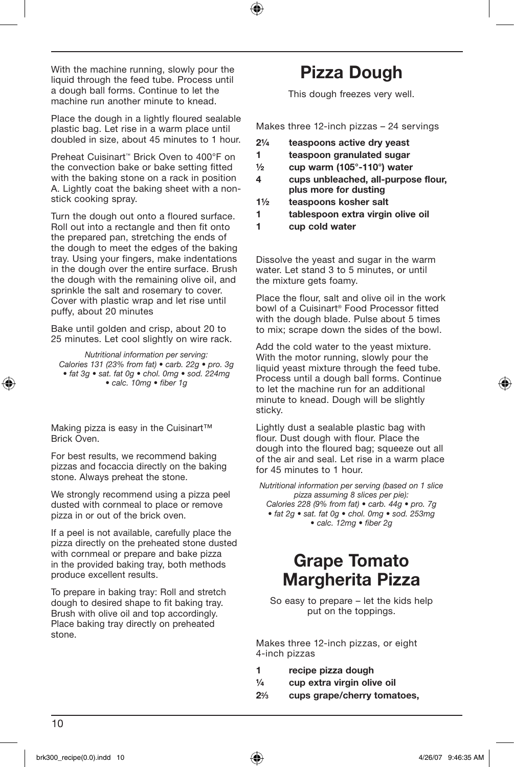With the machine running, slowly pour the liquid through the feed tube. Process until a dough ball forms. Continue to let the machine run another minute to knead.

Place the dough in a lightly floured sealable plastic bag. Let rise in a warm place until doubled in size, about 45 minutes to 1 hour.

Preheat Cuisinart™ Brick Oven to 400°F on the convection bake or bake setting fitted with the baking stone on a rack in position A. Lightly coat the baking sheet with a nonstick cooking spray.

Turn the dough out onto a floured surface. Roll out into a rectangle and then fit onto the prepared pan, stretching the ends of the dough to meet the edges of the baking tray. Using your fingers, make indentations in the dough over the entire surface. Brush the dough with the remaining olive oil, and sprinkle the salt and rosemary to cover. Cover with plastic wrap and let rise until puffy, about 20 minutes

Bake until golden and crisp, about 20 to 25 minutes. Let cool slightly on wire rack.

*Nutritional information per serving: Calories 131 (23% from fat) • carb. 22g • pro. 3g • fat 3g • sat. fat 0g • chol. 0mg • sod. 224mg • calc. 10mg • fiber 1g*

Making pizza is easy in the Cuisinart™ Brick Oven.

For best results, we recommend baking pizzas and focaccia directly on the baking stone. Always preheat the stone.

We strongly recommend using a pizza peel dusted with cornmeal to place or remove pizza in or out of the brick oven.

If a peel is not available, carefully place the pizza directly on the preheated stone dusted with cornmeal or prepare and bake pizza in the provided baking tray, both methods produce excellent results.

To prepare in baking tray: Roll and stretch dough to desired shape to fit baking tray. Brush with olive oil and top accordingly. Place baking tray directly on preheated stone.

## Pizza Dough

This dough freezes very well.

Makes three 12-inch pizzas – 24 servings

- 2¼ teaspoons active dry yeast
- 1 teaspoon granulated sugar
- $\frac{1}{2}$  cup warm (105°-110°) water
- 4 cups unbleached, all-purpose flour, plus more for dusting
- 1½ teaspoons kosher salt
- 1 tablespoon extra virgin olive oil
- 1 cup cold water

Dissolve the yeast and sugar in the warm water. Let stand 3 to 5 minutes, or until the mixture gets foamy.

Place the flour, salt and olive oil in the work bowl of a Cuisinart® Food Processor fitted with the dough blade. Pulse about 5 times to mix; scrape down the sides of the bowl.

Add the cold water to the yeast mixture. With the motor running, slowly pour the liquid yeast mixture through the feed tube. Process until a dough ball forms. Continue to let the machine run for an additional minute to knead. Dough will be slightly sticky.

Lightly dust a sealable plastic bag with flour. Dust dough with flour. Place the dough into the floured bag; squeeze out all of the air and seal. Let rise in a warm place for 45 minutes to 1 hour.

*Nutritional information per serving (based on 1 slice pizza assuming 8 slices per pie): Calories 228 (9% from fat) • carb. 44g • pro. 7g • fat 2g • sat. fat 0g • chol. 0mg • sod. 253mg • calc. 12mg • fiber 2g*

## Grape Tomato Margherita Pizza

So easy to prepare – let the kids help put on the toppings.

Makes three 12-inch pizzas, or eight 4-inch pizzas

- 1 recipe pizza dough
- ¼ cup extra virgin olive oil
- 22⁄3 cups grape/cherry tomatoes,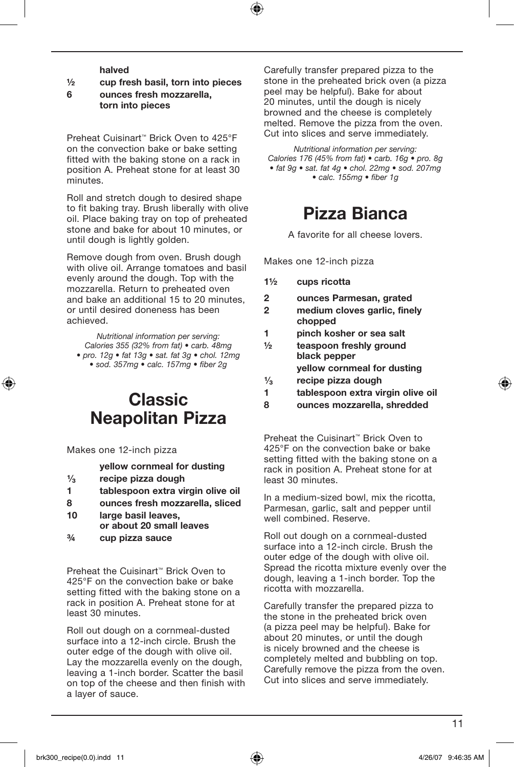halved

#### ½ cup fresh basil, torn into pieces

6 ounces fresh mozzarella, torn into pieces

Preheat Cuisinart™ Brick Oven to 425°F on the convection bake or bake setting fitted with the baking stone on a rack in position A. Preheat stone for at least 30 minutes.

Roll and stretch dough to desired shape to fit baking tray. Brush liberally with olive oil. Place baking tray on top of preheated stone and bake for about 10 minutes, or until dough is lightly golden.

Remove dough from oven. Brush dough with olive oil. Arrange tomatoes and basil evenly around the dough. Top with the mozzarella. Return to preheated oven and bake an additional 15 to 20 minutes or until desired doneness has been achieved.

*Nutritional information per serving: Calories 355 (32% from fat) • carb. 48mg • pro. 12g • fat 13g • sat. fat 3g • chol. 12mg • sod. 357mg • calc. 157mg • fiber 2g*

## Classic Neapolitan Pizza

Makes one 12-inch pizza

yellow cornmeal for dusting

- 1⁄<sub>3</sub> recipe pizza dough<br>1 tablespoon extra vi
- tablespoon extra virgin olive oil
- 8 ounces fresh mozzarella, sliced
- 10 large basil leaves, or about 20 small leaves
- ¾ cup pizza sauce

Preheat the Cuisinart™ Brick Oven to 425°F on the convection bake or bake setting fitted with the baking stone on a rack in position A. Preheat stone for at least 30 minutes.

Roll out dough on a cornmeal-dusted surface into a 12-inch circle. Brush the outer edge of the dough with olive oil. Lay the mozzarella evenly on the dough, leaving a 1-inch border. Scatter the basil on top of the cheese and then finish with a layer of sauce.

Carefully transfer prepared pizza to the stone in the preheated brick oven (a pizza peel may be helpful). Bake for about 20 minutes, until the dough is nicely browned and the cheese is completely melted. Remove the pizza from the oven. Cut into slices and serve immediately.

*Nutritional information per serving: Calories 176 (45% from fat) • carb. 16g • pro. 8g • fat 9g • sat. fat 4g • chol. 22mg • sod. 207mg • calc. 155mg • fiber 1g*

## Pizza Bianca

A favorite for all cheese lovers.

Makes one 12-inch pizza

- 1½ cups ricotta
- 2 ounces Parmesan, grated
- 2 medium cloves garlic, finely chopped
- 1 pinch kosher or sea salt
- ½ teaspoon freshly ground black pepper yellow cornmeal for dusting
- $\frac{1}{3}$  recipe pizza dough<br>1 tables poon extra vi
- tablespoon extra virgin olive oil
- 8 ounces mozzarella, shredded

Preheat the Cuisinart™ Brick Oven to 425°F on the convection bake or bake setting fitted with the baking stone on a rack in position A. Preheat stone for at least 30 minutes.

In a medium-sized bowl, mix the ricotta, Parmesan, garlic, salt and pepper until well combined. Reserve.

Roll out dough on a cornmeal-dusted surface into a 12-inch circle. Brush the outer edge of the dough with olive oil. Spread the ricotta mixture evenly over the dough, leaving a 1-inch border. Top the ricotta with mozzarella.

Carefully transfer the prepared pizza to the stone in the preheated brick oven (a pizza peel may be helpful). Bake for about 20 minutes, or until the dough is nicely browned and the cheese is completely melted and bubbling on top. Carefully remove the pizza from the oven. Cut into slices and serve immediately.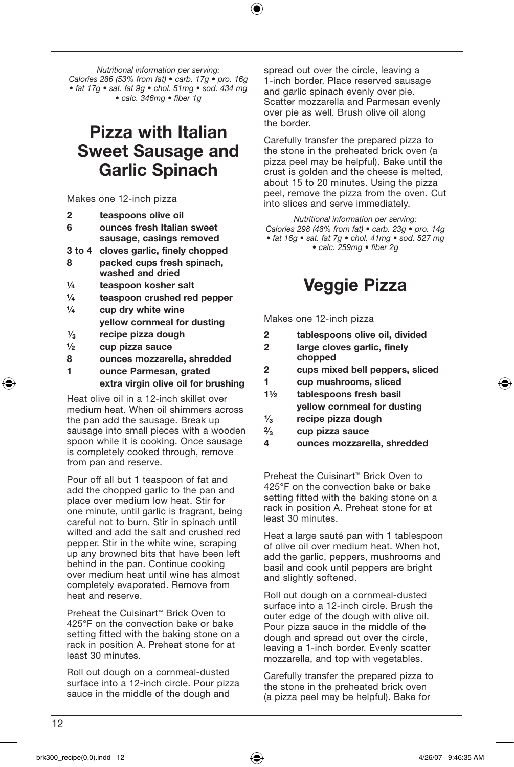*Nutritional information per serving: Calories 286 (53% from fat) • carb. 17g • pro. 16g • fat 17g • sat. fat 9g • chol. 51mg • sod. 434 mg • calc. 346mg • fiber 1g*

## Pizza with Italian Sweet Sausage and Garlic Spinach

Makes one 12-inch pizza

- 2 teaspoons olive oil
- 6 ounces fresh Italian sweet sausage, casings removed
- 3 to 4 cloves garlic, finely chopped
- 8 packed cups fresh spinach, washed and dried
- ¼ teaspoon kosher salt
- ¼ teaspoon crushed red pepper
- $\frac{1}{4}$  cup drv white wine yellow cornmeal for dusting
- $\frac{1}{3}$  recipe pizza dough<br>  $\frac{1}{2}$  cup pizza sauce
- ½ cup pizza sauce
- 8 ounces mozzarella, shredded
- 1 ounce Parmesan, grated extra virgin olive oil for brushing

Heat olive oil in a 12-inch skillet over medium heat. When oil shimmers across the pan add the sausage. Break up sausage into small pieces with a wooden spoon while it is cooking. Once sausage is completely cooked through, remove from pan and reserve.

Pour off all but 1 teaspoon of fat and add the chopped garlic to the pan and place over medium low heat. Stir for one minute, until garlic is fragrant, being careful not to burn. Stir in spinach until wilted and add the salt and crushed red pepper. Stir in the white wine, scraping up any browned bits that have been left behind in the pan. Continue cooking over medium heat until wine has almost completely evaporated. Remove from heat and reserve.

Preheat the Cuisinart™ Brick Oven to 425°F on the convection bake or bake setting fitted with the baking stone on a rack in position A. Preheat stone for at least 30 minutes.

Roll out dough on a cornmeal-dusted surface into a 12-inch circle. Pour pizza sauce in the middle of the dough and

spread out over the circle, leaving a 1-inch border. Place reserved sausage and garlic spinach evenly over pie. Scatter mozzarella and Parmesan evenly over pie as well. Brush olive oil along the border.

Carefully transfer the prepared pizza to the stone in the preheated brick oven (a pizza peel may be helpful). Bake until the crust is golden and the cheese is melted, about 15 to 20 minutes. Using the pizza peel, remove the pizza from the oven. Cut into slices and serve immediately.

*Nutritional information per serving: Calories 298 (48% from fat) • carb. 23g • pro. 14g • fat 16g • sat. fat 7g • chol. 41mg • sod. 527 mg • calc. 259mg • fiber 2g*

## Veggie Pizza

Makes one 12-inch pizza

- 2 tablespoons olive oil, divided
- 2 large cloves garlic, finely chopped
- 2 cups mixed bell peppers, sliced
- 1 cup mushrooms, sliced
- 1½ tablespoons fresh basil yellow cornmeal for dusting
- $\frac{1}{3}$  recipe pizza dough<br> $\frac{2}{3}$  cup pizza sauce
- $\frac{2}{3}$  cup pizza sauce<br>4 ounces mozzare
- ounces mozzarella, shredded

Preheat the Cuisinart™ Brick Oven to 425°F on the convection bake or bake setting fitted with the baking stone on a rack in position A. Preheat stone for at least 30 minutes.

Heat a large sauté pan with 1 tablespoon of olive oil over medium heat. When hot, add the garlic, peppers, mushrooms and basil and cook until peppers are bright and slightly softened.

Roll out dough on a cornmeal-dusted surface into a 12-inch circle. Brush the outer edge of the dough with olive oil. Pour pizza sauce in the middle of the dough and spread out over the circle, leaving a 1-inch border. Evenly scatter mozzarella, and top with vegetables.

Carefully transfer the prepared pizza to the stone in the preheated brick oven (a pizza peel may be helpful). Bake for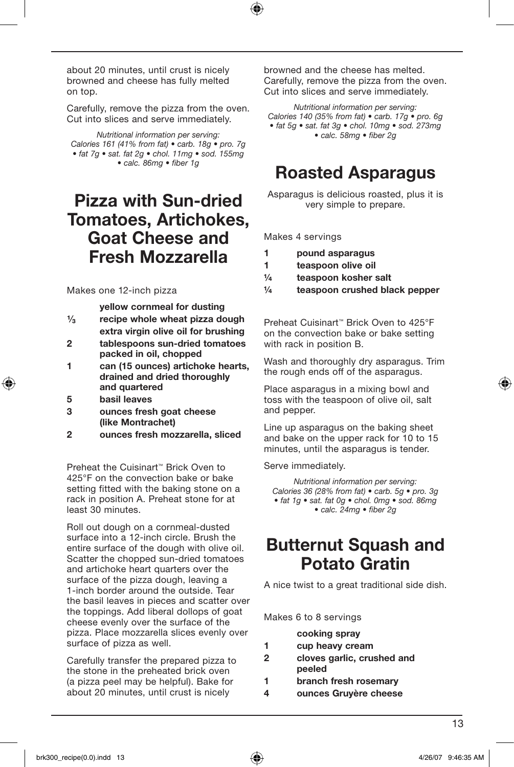about 20 minutes, until crust is nicely browned and cheese has fully melted on top.

Carefully, remove the pizza from the oven. Cut into slices and serve immediately.

*Nutritional information per serving: Calories 161 (41% from fat) • carb. 18g • pro. 7g • fat 7g • sat. fat 2g • chol. 11mg • sod. 155mg • calc. 86mg • fiber 1g*

## Pizza with Sun-dried Tomatoes, Artichokes, Goat Cheese and Fresh Mozzarella

#### Makes one 12-inch pizza

- yellow cornmeal for dusting  $\frac{1}{3}$  recipe whole wheat pizza dough
- extra virgin olive oil for brushing
- 2 tablespoons sun-dried tomatoes packed in oil, chopped
- 1 can (15 ounces) artichoke hearts, drained and dried thoroughly and quartered
- 5 basil leaves
- 3 ounces fresh goat cheese (like Montrachet)
- 2 ounces fresh mozzarella, sliced

Preheat the Cuisinart™ Brick Oven to 425°F on the convection bake or bake setting fitted with the baking stone on a rack in position A. Preheat stone for at least 30 minutes.

Roll out dough on a cornmeal-dusted surface into a 12-inch circle. Brush the entire surface of the dough with olive oil. Scatter the chopped sun-dried tomatoes and artichoke heart quarters over the surface of the pizza dough, leaving a 1-inch border around the outside. Tear the basil leaves in pieces and scatter over the toppings. Add liberal dollops of goat cheese evenly over the surface of the pizza. Place mozzarella slices evenly over surface of pizza as well.

Carefully transfer the prepared pizza to the stone in the preheated brick oven (a pizza peel may be helpful). Bake for about 20 minutes, until crust is nicely

browned and the cheese has melted. Carefully, remove the pizza from the oven. Cut into slices and serve immediately.

*Nutritional information per serving: Calories 140 (35% from fat) • carb. 17g • pro. 6g • fat 5g • sat. fat 3g • chol. 10mg • sod. 273mg • calc. 58mg • fiber 2g*

## Roasted Asparagus

Asparagus is delicious roasted, plus it is very simple to prepare.

Makes 4 servings

- 1 pound asparagus
- 1 teaspoon olive oil
- ¼ teaspoon kosher salt
- ¼ teaspoon crushed black pepper

Preheat Cuisinart™ Brick Oven to 425°F on the convection bake or bake setting with rack in position B.

Wash and thoroughly dry asparagus. Trim the rough ends off of the asparagus.

Place asparagus in a mixing bowl and toss with the teaspoon of olive oil, salt and pepper.

Line up asparagus on the baking sheet and bake on the upper rack for 10 to 15 minutes, until the asparagus is tender.

Serve immediately.

*Nutritional information per serving: Calories 36 (28% from fat) • carb. 5g • pro. 3g • fat 1g • sat. fat 0g • chol. 0mg • sod. 86mg • calc. 24mg • fiber 2g*

## **Butternut Squash and** Potato Gratin

A nice twist to a great traditional side dish.

Makes 6 to 8 servings

|    | cooking spray                        |
|----|--------------------------------------|
| 1. | cup heavy cream                      |
| 2  | cloves garlic, crushed and<br>peeled |
| 1  | branch fresh rosemary                |
| 4  | ounces Gruyère cheese                |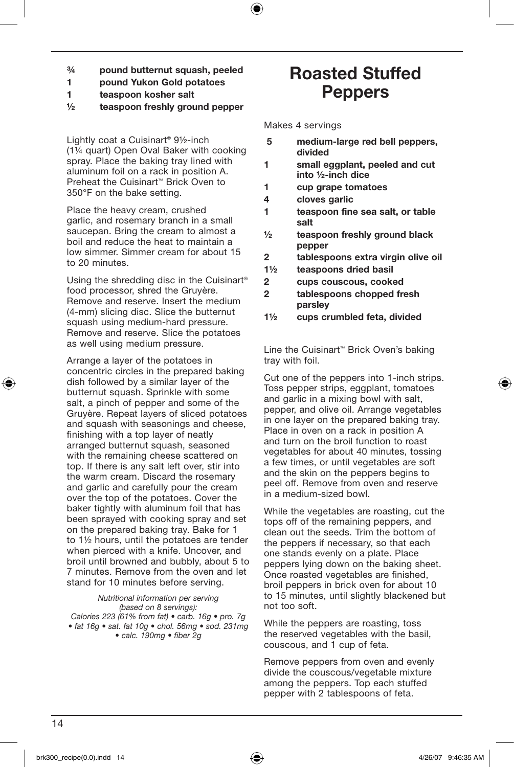- ¾ pound butternut squash, peeled
- 1 pound Yukon Gold potatoes
- 1 teaspoon kosher salt
- ½ teaspoon freshly ground pepper

Lightly coat a Cuisinart® 9½-inch (1¼ quart) Open Oval Baker with cooking spray. Place the baking tray lined with aluminum foil on a rack in position A. Preheat the Cuisinart™ Brick Oven to 350°F on the bake setting.

Place the heavy cream, crushed garlic, and rosemary branch in a small saucepan. Bring the cream to almost a boil and reduce the heat to maintain a low simmer. Simmer cream for about 15 to 20 minutes.

Using the shredding disc in the Cuisinart® food processor, shred the Gruyère. Remove and reserve. Insert the medium (4-mm) slicing disc. Slice the butternut squash using medium-hard pressure. Remove and reserve. Slice the potatoes as well using medium pressure.

Arrange a layer of the potatoes in concentric circles in the prepared baking dish followed by a similar layer of the butternut squash. Sprinkle with some salt, a pinch of pepper and some of the Gruyère. Repeat layers of sliced potatoes and squash with seasonings and cheese, finishing with a top layer of neatly arranged butternut squash, seasoned with the remaining cheese scattered on top. If there is any salt left over, stir into the warm cream. Discard the rosemary and garlic and carefully pour the cream over the top of the potatoes. Cover the baker tightly with aluminum foil that has been sprayed with cooking spray and set on the prepared baking tray. Bake for 1 to 1½ hours, until the potatoes are tender when pierced with a knife. Uncover, and broil until browned and bubbly, about 5 to 7 minutes. Remove from the oven and let stand for 10 minutes before serving.

#### *Nutritional information per serving (based on 8 servings):*

*Calories 223 (61% from fat) • carb. 16g • pro. 7g • fat 16g • sat. fat 10g • chol. 56mg • sod. 231mg • calc. 190mg • fiber 2g*

## Roasted Stuffed **Peppers**

Makes 4 servings

- 5 medium-large red bell peppers, divided
- 1 small eggplant, peeled and cut into ½-inch dice
- 1 cup grape tomatoes
- 4 cloves garlic
- 1 teaspoon fine sea salt, or table salt
- ½ teaspoon freshly ground black pepper
- 2 tablespoons extra virgin olive oil
- 1½ teaspoons dried basil
- 2 cups couscous, cooked
- 2 tablespoons chopped fresh parsley
- 1½ cups crumbled feta, divided

Line the Cuisinart™ Brick Oven's baking tray with foil.

Cut one of the peppers into 1-inch strips. Toss pepper strips, eggplant, tomatoes and garlic in a mixing bowl with salt, pepper, and olive oil. Arrange vegetables in one layer on the prepared baking tray. Place in oven on a rack in position A and turn on the broil function to roast vegetables for about 40 minutes, tossing a few times, or until vegetables are soft and the skin on the peppers begins to peel off. Remove from oven and reserve in a medium-sized bowl.

While the vegetables are roasting, cut the tops off of the remaining peppers, and clean out the seeds. Trim the bottom of the peppers if necessary, so that each one stands evenly on a plate. Place peppers lying down on the baking sheet. Once roasted vegetables are finished, broil peppers in brick oven for about 10 to 15 minutes, until slightly blackened but not too soft.

While the peppers are roasting, toss the reserved vegetables with the basil, couscous, and 1 cup of feta.

Remove peppers from oven and evenly divide the couscous/vegetable mixture among the peppers. Top each stuffed pepper with 2 tablespoons of feta.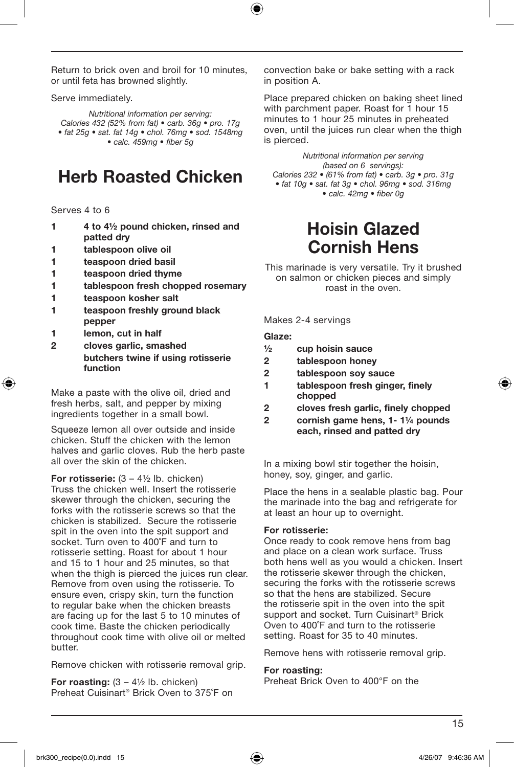Return to brick oven and broil for 10 minutes, or until feta has browned slightly.

Serve immediately.

*Nutritional information per serving: Calories 432 (52% from fat) • carb. 36g • pro. 17g • fat 25g • sat. fat 14g • chol. 76mg • sod. 1548mg • calc. 459mg • fiber 5g*

## Herb Roasted Chicken

Serves 4 to 6

- 1 4 to 4½ pound chicken, rinsed and patted dry
- 1 tablespoon olive oil
- 1 teaspoon dried basil
- 1 teaspoon dried thyme
- 1 tablespoon fresh chopped rosemary
- 1 teaspoon kosher salt
- 1 teaspoon freshly ground black pepper
- 1 lemon, cut in half
- 2 cloves garlic, smashed butchers twine if using rotisserie function

Make a paste with the olive oil, dried and fresh herbs, salt, and pepper by mixing ingredients together in a small bowl.

Squeeze lemon all over outside and inside chicken. Stuff the chicken with the lemon halves and garlic cloves. Rub the herb paste all over the skin of the chicken.

For rotisserie:  $(3 - 4\frac{1}{2})$  lb. chicken) Truss the chicken well. Insert the rotisserie skewer through the chicken, securing the forks with the rotisserie screws so that the chicken is stabilized. Secure the rotisserie spit in the oven into the spit support and socket. Turn oven to 400˚F and turn to rotisserie setting. Roast for about 1 hour and 15 to 1 hour and 25 minutes, so that when the thigh is pierced the juices run clear. Remove from oven using the rotisserie. To ensure even, crispy skin, turn the function to regular bake when the chicken breasts are facing up for the last 5 to 10 minutes of cook time. Baste the chicken periodically throughout cook time with olive oil or melted butter.

Remove chicken with rotisserie removal grip.

For roasting:  $(3 - 4\frac{1}{2})$  lb. chicken) Preheat Cuisinart® Brick Oven to 375˚F on convection bake or bake setting with a rack in position A.

Place prepared chicken on baking sheet lined with parchment paper. Roast for 1 hour 15 minutes to 1 hour 25 minutes in preheated oven, until the juices run clear when the thigh is pierced.

*Nutritional information per serving (based on 6 servings): Calories 232 • (61% from fat) • carb. 3g • pro. 31g • fat 10g • sat. fat 3g • chol. 96mg • sod. 316mg • calc. 42mg • fiber 0g*

## Hoisin Glazed Cornish Hens

This marinade is very versatile. Try it brushed on salmon or chicken pieces and simply roast in the oven.

Makes 2-4 servings

#### Glaze:

- ½ cup hoisin sauce
- 2 tablespoon honey
- 2 tablespoon soy sauce
- 1 tablespoon fresh ginger, finely chopped
- 2 cloves fresh garlic, finely chopped
- 2 cornish game hens, 1- 1¼ pounds each, rinsed and patted dry

In a mixing bowl stir together the hoisin, honey, soy, ginger, and garlic.

Place the hens in a sealable plastic bag. Pour the marinade into the bag and refrigerate for at least an hour up to overnight.

#### For rotisserie:

Once ready to cook remove hens from bag and place on a clean work surface. Truss both hens well as you would a chicken. Insert the rotisserie skewer through the chicken, securing the forks with the rotisserie screws so that the hens are stabilized. Secure the rotisserie spit in the oven into the spit support and socket. Turn Cuisinart® Brick Oven to 400˚F and turn to the rotisserie setting. Roast for 35 to 40 minutes.

Remove hens with rotisserie removal grip.

#### For roasting:

Preheat Brick Oven to 400°F on the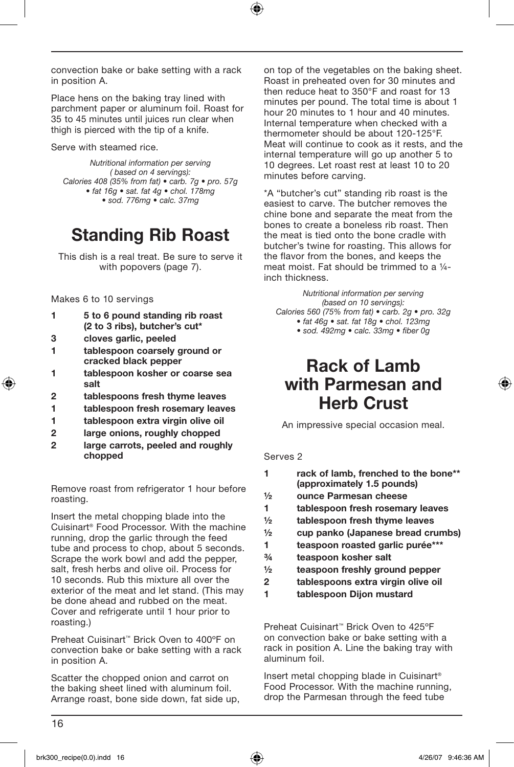convection bake or bake setting with a rack in position A.

Place hens on the baking tray lined with parchment paper or aluminum foil. Roast for 35 to 45 minutes until juices run clear when thigh is pierced with the tip of a knife.

Serve with steamed rice.

*Nutritional information per serving ( based on 4 servings): Calories 408 (35% from fat) • carb. 7g • pro. 57g • fat 16g • sat. fat 4g • chol. 178mg • sod. 776mg • calc. 37mg* 

## Standing Rib Roast

This dish is a real treat. Be sure to serve it with popovers (page 7).

Makes 6 to 10 servings

- 1 5 to 6 pound standing rib roast (2 to 3 ribs), butcher's cut\*
- 3 cloves garlic, peeled
- 1 tablespoon coarsely ground or cracked black pepper
- 1 tablespoon kosher or coarse sea salt
- 2 tablespoons fresh thyme leaves
- 1 tablespoon fresh rosemary leaves
- 1 tablespoon extra virgin olive oil
- 2 large onions, roughly chopped
- 2 large carrots, peeled and roughly chopped

Remove roast from refrigerator 1 hour before roasting.

Insert the metal chopping blade into the Cuisinart® Food Processor. With the machine running, drop the garlic through the feed tube and process to chop, about 5 seconds. Scrape the work bowl and add the pepper, salt, fresh herbs and olive oil. Process for 10 seconds. Rub this mixture all over the exterior of the meat and let stand. (This may be done ahead and rubbed on the meat. Cover and refrigerate until 1 hour prior to roasting.)

Preheat Cuisinart™ Brick Oven to 400ºF on convection bake or bake setting with a rack in position A.

Scatter the chopped onion and carrot on the baking sheet lined with aluminum foil. Arrange roast, bone side down, fat side up,

on top of the vegetables on the baking sheet. Roast in preheated oven for 30 minutes and then reduce heat to 350°F and roast for 13 minutes per pound. The total time is about 1 hour 20 minutes to 1 hour and 40 minutes. Internal temperature when checked with a thermometer should be about 120-125°F. Meat will continue to cook as it rests, and the internal temperature will go up another 5 to 10 degrees. Let roast rest at least 10 to 20 minutes before carving.

\*A "butcher's cut" standing rib roast is the easiest to carve. The butcher removes the chine bone and separate the meat from the bones to create a boneless rib roast. Then the meat is tied onto the bone cradle with butcher's twine for roasting. This allows for the flavor from the bones, and keeps the meat moist. Fat should be trimmed to a ¼ inch thickness.

*Nutritional information per serving (based on 10 servings): Calories 560 (75% from fat) • carb. 2g • pro. 32g • fat 46g • sat. fat 18g • chol. 123mg* 

*• sod. 492mg • calc. 33mg • fiber 0g*

## Rack of Lamb with Parmesan and Herb Crust

An impressive special occasion meal.

Serves 2

| 1             | rack of lamb, frenched to the bone**<br>(approximately 1.5 pounds) |
|---------------|--------------------------------------------------------------------|
| 1/2           | ounce Parmesan cheese                                              |
| 1             | tablespoon fresh rosemary leaves                                   |
| $\frac{1}{2}$ | tablespoon fresh thyme leaves                                      |
| 1/2           | cup panko (Japanese bread crumbs)                                  |
|               |                                                                    |

- 1 teaspoon roasted garlic purée\*\*\*
- ¾ teaspoon kosher salt
- ½ teaspoon freshly ground pepper
- 2 tablespoons extra virgin olive oil
- 1 tablespoon Dijon mustard

Preheat Cuisinart™ Brick Oven to 425ºF on convection bake or bake setting with a rack in position A. Line the baking tray with aluminum foil.

Insert metal chopping blade in Cuisinart® Food Processor. With the machine running, drop the Parmesan through the feed tube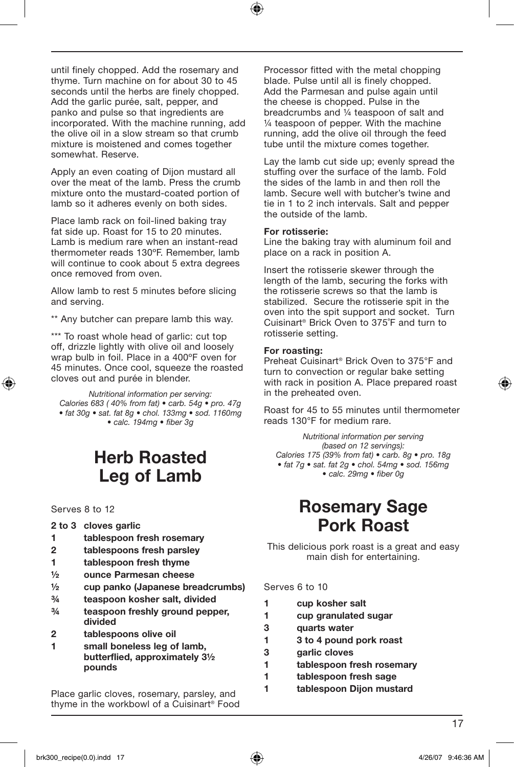until finely chopped. Add the rosemary and thyme. Turn machine on for about 30 to 45 seconds until the herbs are finely chopped. Add the garlic purée, salt, pepper, and panko and pulse so that ingredients are incorporated. With the machine running, add the olive oil in a slow stream so that crumb mixture is moistened and comes together somewhat. Reserve.

Apply an even coating of Dijon mustard all over the meat of the lamb. Press the crumb mixture onto the mustard-coated portion of lamb so it adheres evenly on both sides.

Place lamb rack on foil-lined baking tray fat side up. Roast for 15 to 20 minutes. Lamb is medium rare when an instant-read thermometer reads 130ºF. Remember, lamb will continue to cook about 5 extra degrees once removed from oven.

Allow lamb to rest 5 minutes before slicing and serving.

\*\* Any butcher can prepare lamb this way.

\*\*\* To roast whole head of garlic: cut top off, drizzle lightly with olive oil and loosely wrap bulb in foil. Place in a 400ºF oven for 45 minutes. Once cool, squeeze the roasted cloves out and purée in blender.

*Nutritional information per serving: Calories 683 ( 40% from fat) • carb. 54g • pro. 47g • fat 30g • sat. fat 8g • chol. 133mg • sod. 1160mg • calc. 194mg • fiber 3g*

## Herb Roasted Leg of Lamb

Serves 8 to 12

#### 2 to 3 cloves garlic

- 1 tablespoon fresh rosemary
- 2 tablespoons fresh parsley
- 1 tablespoon fresh thyme
- ½ ounce Parmesan cheese
- ½ cup panko (Japanese breadcrumbs)
- ¾ teaspoon kosher salt, divided
- ¾ teaspoon freshly ground pepper, divided
- 2 tablespoons olive oil
- 1 small boneless leg of lamb, butterflied, approximately 3½ pounds

Place garlic cloves, rosemary, parsley, and thyme in the workbowl of a Cuisinart® Food

Processor fitted with the metal chopping blade. Pulse until all is finely chopped. Add the Parmesan and pulse again until the cheese is chopped. Pulse in the breadcrumbs and ¼ teaspoon of salt and ¼ teaspoon of pepper. With the machine running, add the olive oil through the feed tube until the mixture comes together.

Lay the lamb cut side up; evenly spread the stuffing over the surface of the lamb. Fold the sides of the lamb in and then roll the lamb. Secure well with butcher's twine and tie in 1 to 2 inch intervals. Salt and pepper the outside of the lamb.

#### For rotisserie:

Line the baking tray with aluminum foil and place on a rack in position A.

Insert the rotisserie skewer through the length of the lamb, securing the forks with the rotisserie screws so that the lamb is stabilized. Secure the rotisserie spit in the oven into the spit support and socket. Turn Cuisinart® Brick Oven to 375˚F and turn to rotisserie setting.

#### For roasting:

Preheat Cuisinart® Brick Oven to 375°F and turn to convection or regular bake setting with rack in position A. Place prepared roast in the preheated oven.

Roast for 45 to 55 minutes until thermometer reads 130°F for medium rare.

*Nutritional information per serving (based on 12 servings): Calories 175 (39% from fat) • carb. 8g • pro. 18g • fat 7g • sat. fat 2g • chol. 54mg • sod. 156mg • calc. 29mg • fiber 0g*

## Rosemary Sage Pork Roast

This delicious pork roast is a great and easy main dish for entertaining.

#### Serves 6 to 10

- 1 cup kosher salt 1 cup granulated sugar 3 quarts water 1 3 to 4 pound pork roast
- 3 garlic cloves
- 1 tablespoon fresh rosemary
- 1 tablespoon fresh sage
- 1 tablespoon Dijon mustard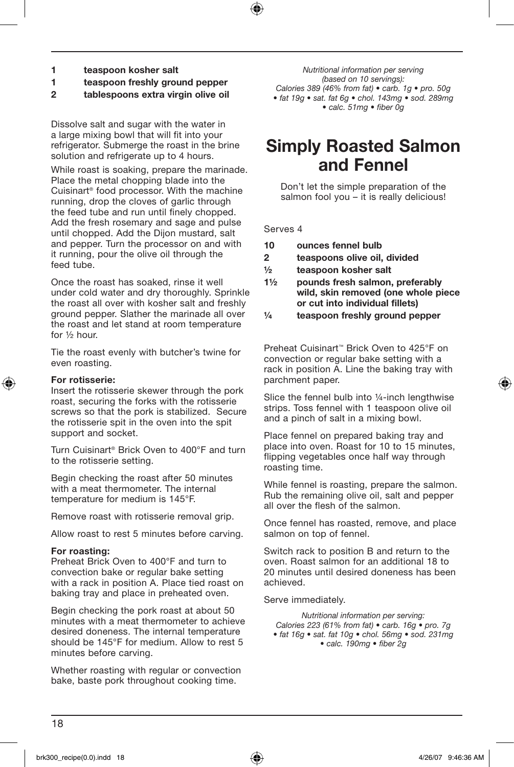- 1 teaspoon kosher salt
- 1 teaspoon freshly ground pepper
- 2 tablespoons extra virgin olive oil

Dissolve salt and sugar with the water in a large mixing bowl that will fit into your refrigerator. Submerge the roast in the brine solution and refrigerate up to 4 hours.

While roast is soaking, prepare the marinade. Place the metal chopping blade into the Cuisinart® food processor. With the machine running, drop the cloves of garlic through the feed tube and run until finely chopped. Add the fresh rosemary and sage and pulse until chopped. Add the Dijon mustard, salt and pepper. Turn the processor on and with it running, pour the olive oil through the feed tube.

Once the roast has soaked, rinse it well under cold water and dry thoroughly. Sprinkle the roast all over with kosher salt and freshly ground pepper. Slather the marinade all over the roast and let stand at room temperature for ½ hour.

Tie the roast evenly with butcher's twine for even roasting.

#### For rotisserie:

Insert the rotisserie skewer through the pork roast, securing the forks with the rotisserie screws so that the pork is stabilized. Secure the rotisserie spit in the oven into the spit support and socket.

Turn Cuisinart® Brick Oven to 400°F and turn to the rotisserie setting.

Begin checking the roast after 50 minutes with a meat thermometer. The internal temperature for medium is 145°F.

Remove roast with rotisserie removal grip.

Allow roast to rest 5 minutes before carving.

#### For roasting:

Preheat Brick Oven to 400°F and turn to convection bake or regular bake setting with a rack in position A. Place tied roast on baking tray and place in preheated oven.

Begin checking the pork roast at about 50 minutes with a meat thermometer to achieve desired doneness. The internal temperature should be 145°F for medium. Allow to rest 5 minutes before carving.

Whether roasting with regular or convection bake, baste pork throughout cooking time.

*Nutritional information per serving (based on 10 servings): Calories 389 (46% from fat) • carb. 1g • pro. 50g • fat 19g • sat. fat 6g • chol. 143mg • sod. 289mg • calc. 51mg • fiber 0g*

## Simply Roasted Salmon and Fennel

Don't let the simple preparation of the salmon fool you – it is really delicious!

#### Serves 4

- 10 ounces fennel bulb
- 2 teaspoons olive oil, divided
- ½ teaspoon kosher salt
- 1½ pounds fresh salmon, preferably wild, skin removed (one whole piece or cut into individual fillets)
- ¼ teaspoon freshly ground pepper

Preheat Cuisinart™ Brick Oven to 425°F on convection or regular bake setting with a rack in position A. Line the baking tray with parchment paper.

Slice the fennel bulb into ¼-inch lengthwise strips. Toss fennel with 1 teaspoon olive oil and a pinch of salt in a mixing bowl.

Place fennel on prepared baking tray and place into oven. Roast for 10 to 15 minutes, flipping vegetables once half way through roasting time.

While fennel is roasting, prepare the salmon. Rub the remaining olive oil, salt and pepper all over the flesh of the salmon.

Once fennel has roasted, remove, and place salmon on top of fennel.

Switch rack to position B and return to the oven. Roast salmon for an additional 18 to 20 minutes until desired doneness has been achieved.

Serve immediately.

*Nutritional information per serving: Calories 223 (61% from fat) • carb. 16g • pro. 7g • fat 16g • sat. fat 10g • chol. 56mg • sod. 231mg • calc. 190mg • fiber 2g*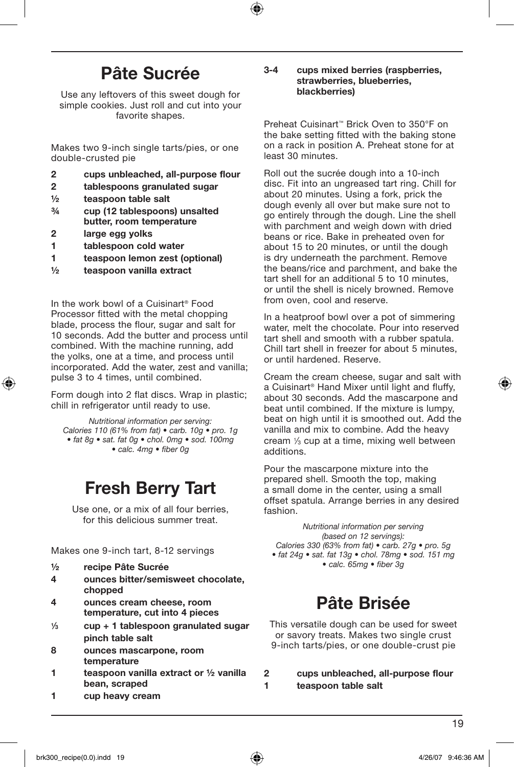## Pâte Sucrée

Use any leftovers of this sweet dough for simple cookies. Just roll and cut into your favorite shapes.

Makes two 9-inch single tarts/pies, or one double-crusted pie

- 2 cups unbleached, all-purpose flour
- 2 tablespoons granulated sugar
- ½ teaspoon table salt
- ¾ cup (12 tablespoons) unsalted butter, room temperature
- 2 large egg yolks
- 1 tablespoon cold water
- 1 teaspoon lemon zest (optional)
- ½ teaspoon vanilla extract

In the work bowl of a Cuisinart® Food Processor fitted with the metal chopping blade, process the flour, sugar and salt for 10 seconds. Add the butter and process until combined. With the machine running, add the yolks, one at a time, and process until incorporated. Add the water, zest and vanilla; pulse 3 to 4 times, until combined.

Form dough into 2 flat discs. Wrap in plastic; chill in refrigerator until ready to use.

*Nutritional information per serving: Calories 110 (61% from fat) • carb. 10g • pro. 1g • fat 8g • sat. fat 0g • chol. 0mg • sod. 100mg • calc. 4mg • fiber 0g* 

## Fresh Berry Tart

Use one, or a mix of all four berries, for this delicious summer treat.

Makes one 9-inch tart, 8-12 servings

- ½ recipe Pâte Sucrée
- 4 ounces bitter/semisweet chocolate, chopped
- 4 ounces cream cheese, room temperature, cut into 4 pieces
- $\frac{1}{3}$  cup + 1 tablespoon granulated sugar pinch table salt
- 8 ounces mascarpone, room temperature
- 1 teaspoon vanilla extract or ½ vanilla bean, scraped
- 1 cup heavy cream

#### 3-4 cups mixed berries (raspberries, strawberries, blueberries, blackberries)

Preheat Cuisinart™ Brick Oven to 350°F on the bake setting fitted with the baking stone on a rack in position A. Preheat stone for at least 30 minutes.

Roll out the sucrée dough into a 10-inch disc. Fit into an ungreased tart ring. Chill for about 20 minutes. Using a fork, prick the dough evenly all over but make sure not to go entirely through the dough. Line the shell with parchment and weigh down with dried beans or rice. Bake in preheated oven for about 15 to 20 minutes, or until the dough is dry underneath the parchment. Remove the beans/rice and parchment, and bake the tart shell for an additional 5 to 10 minutes, or until the shell is nicely browned. Remove from oven, cool and reserve.

In a heatproof bowl over a pot of simmering water, melt the chocolate. Pour into reserved tart shell and smooth with a rubber spatula. Chill tart shell in freezer for about 5 minutes, or until hardened. Reserve.

Cream the cream cheese, sugar and salt with a Cuisinart® Hand Mixer until light and fluffy, about 30 seconds. Add the mascarpone and beat until combined. If the mixture is lumpy, beat on high until it is smoothed out. Add the vanilla and mix to combine. Add the heavy cream 1⁄3 cup at a time, mixing well between additions.

Pour the mascarpone mixture into the prepared shell. Smooth the top, making a small dome in the center, using a small offset spatula. Arrange berries in any desired fashion.

*Nutritional information per serving (based on 12 servings): Calories 330 (63% from fat) • carb. 27g • pro. 5g • fat 24g • sat. fat 13g • chol. 78mg • sod. 151 mg* 

*• calc. 65mg • fiber 3g*

## Pâte Brisée

This versatile dough can be used for sweet or savory treats. Makes two single crust 9-inch tarts/pies, or one double-crust pie

#### 2 cups unbleached, all-purpose flour 1 teaspoon table salt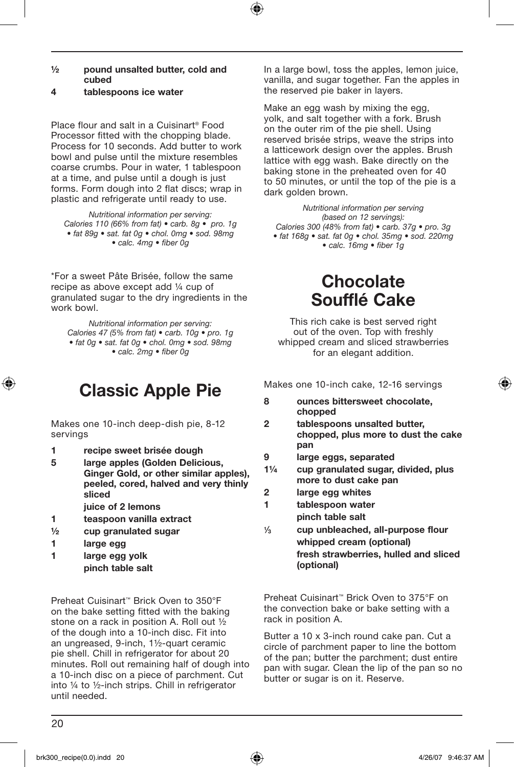- ½ pound unsalted butter, cold and cubed
- 4 tablespoons ice water

Place flour and salt in a Cuisinart® Food Processor fitted with the chopping blade. Process for 10 seconds. Add butter to work bowl and pulse until the mixture resembles coarse crumbs. Pour in water, 1 tablespoon at a time, and pulse until a dough is just forms. Form dough into 2 flat discs; wrap in plastic and refrigerate until ready to use.

*Nutritional information per serving: Calories 110 (66% from fat) • carb. 8g • pro. 1g • fat 89g • sat. fat 0g • chol. 0mg • sod. 98mg • calc. 4mg • fiber 0g*

\*For a sweet Pâte Brisée, follow the same recipe as above except add ¼ cup of granulated sugar to the dry ingredients in the work bowl.

*Nutritional information per serving: Calories 47 (5% from fat) • carb. 10g • pro. 1g • fat 0g • sat. fat 0g • chol. 0mg • sod. 98mg • calc. 2mg • fiber 0g*

## Classic Apple Pie

Makes one 10-inch deep-dish pie, 8-12 servings

- 1 recipe sweet brisée dough
- 5 large apples (Golden Delicious, Ginger Gold, or other similar apples), peeled, cored, halved and very thinly sliced
	- juice of 2 lemons
- 1 teaspoon vanilla extract
- ½ cup granulated sugar
- 1 large egg
- 1 large egg yolk
- pinch table salt

Preheat Cuisinart™ Brick Oven to 350°F on the bake setting fitted with the baking stone on a rack in position A. Roll out ½ of the dough into a 10-inch disc. Fit into an ungreased, 9-inch, 1½-quart ceramic pie shell. Chill in refrigerator for about 20 minutes. Roll out remaining half of dough into a 10-inch disc on a piece of parchment. Cut into ¼ to ½-inch strips. Chill in refrigerator until needed.

In a large bowl, toss the apples, lemon juice, vanilla, and sugar together. Fan the apples in the reserved pie baker in layers.

Make an egg wash by mixing the egg, yolk, and salt together with a fork. Brush on the outer rim of the pie shell. Using reserved brisée strips, weave the strips into a latticework design over the apples. Brush lattice with egg wash. Bake directly on the baking stone in the preheated oven for 40 to 50 minutes, or until the top of the pie is a dark golden brown.

*Nutritional information per serving (based on 12 servings): Calories 300 (48% from fat) • carb. 37g • pro. 3g • fat 168g • sat. fat 0g • chol. 35mg • sod. 220mg • calc. 16mg • fiber 1g*

## **Chocolate** Soufflé Cake

This rich cake is best served right out of the oven. Top with freshly whipped cream and sliced strawberries for an elegant addition.

Makes one 10-inch cake, 12-16 servings

- 8 ounces bittersweet chocolate, chopped
- 2 tablespoons unsalted butter, chopped, plus more to dust the cake pan
- 9 large eggs, separated
- 1¼ cup granulated sugar, divided, plus more to dust cake pan
- 2 large egg whites
- 1 tablespoon water pinch table salt
- 1⁄3 cup unbleached, all-purpose flour whipped cream (optional) fresh strawberries, hulled and sliced (optional)

Preheat Cuisinart™ Brick Oven to 375°F on the convection bake or bake setting with a rack in position A.

Butter a 10 x 3-inch round cake pan. Cut a circle of parchment paper to line the bottom of the pan; butter the parchment; dust entire pan with sugar. Clean the lip of the pan so no butter or sugar is on it. Reserve.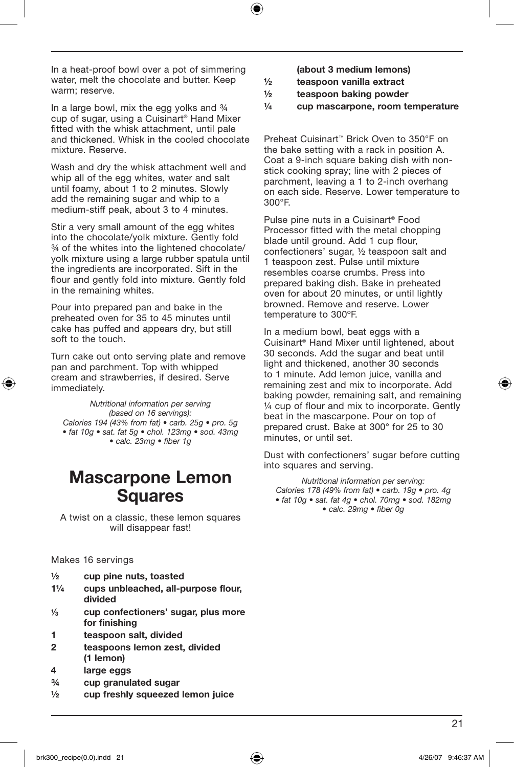In a heat-proof bowl over a pot of simmering water, melt the chocolate and butter. Keep warm; reserve.

In a large bowl, mix the egg yolks and  $\frac{3}{4}$ cup of sugar, using a Cuisinart® Hand Mixer fitted with the whisk attachment, until pale and thickened. Whisk in the cooled chocolate mixture. Reserve.

Wash and dry the whisk attachment well and whip all of the egg whites, water and salt until foamy, about 1 to 2 minutes. Slowly add the remaining sugar and whip to a medium-stiff peak, about 3 to 4 minutes.

Stir a very small amount of the egg whites into the chocolate/yolk mixture. Gently fold ¾ of the whites into the lightened chocolate/ yolk mixture using a large rubber spatula until the ingredients are incorporated. Sift in the flour and gently fold into mixture. Gently fold in the remaining whites.

Pour into prepared pan and bake in the preheated oven for 35 to 45 minutes until cake has puffed and appears dry, but still soft to the touch.

Turn cake out onto serving plate and remove pan and parchment. Top with whipped cream and strawberries, if desired. Serve immediately.

*Nutritional information per serving (based on 16 servings): Calories 194 (43% from fat) • carb. 25g • pro. 5g • fat 10g • sat. fat 5g • chol. 123mg • sod. 43mg • calc. 23mg • fiber 1g* 

## Mascarpone Lemon **Squares**

A twist on a classic, these lemon squares will disappear fast!

Makes 16 servings

- ½ cup pine nuts, toasted
- 1¼ cups unbleached, all-purpose flour, divided
- 1⁄3 cup confectioners' sugar, plus more for finishing
- 1 teaspoon salt, divided
- 2 teaspoons lemon zest, divided (1 lemon)
- 4 large eggs
- ¾ cup granulated sugar
- ½ cup freshly squeezed lemon juice

(about 3 medium lemons)

- ½ teaspoon vanilla extract
- ½ teaspoon baking powder
- ¼ cup mascarpone, room temperature

Preheat Cuisinart™ Brick Oven to 350°F on the bake setting with a rack in position A. Coat a 9-inch square baking dish with nonstick cooking spray; line with 2 pieces of parchment, leaving a 1 to 2-inch overhang on each side. Reserve. Lower temperature to 300°F.

Pulse pine nuts in a Cuisinart® Food Processor fitted with the metal chopping blade until ground. Add 1 cup flour, confectioners' sugar, ½ teaspoon salt and 1 teaspoon zest. Pulse until mixture resembles coarse crumbs. Press into prepared baking dish. Bake in preheated oven for about 20 minutes, or until lightly browned. Remove and reserve. Lower temperature to 300ºF.

In a medium bowl, beat eggs with a Cuisinart® Hand Mixer until lightened, about 30 seconds. Add the sugar and beat until light and thickened, another 30 seconds to 1 minute. Add lemon juice, vanilla and remaining zest and mix to incorporate. Add baking powder, remaining salt, and remaining ¼ cup of flour and mix to incorporate. Gently beat in the mascarpone. Pour on top of prepared crust. Bake at 300° for 25 to 30 minutes, or until set.

Dust with confectioners' sugar before cutting into squares and serving.

*Nutritional information per serving: Calories 178 (49% from fat) • carb. 19g • pro. 4g • fat 10g • sat. fat 4g • chol. 70mg • sod. 182mg • calc. 29mg • fiber 0g*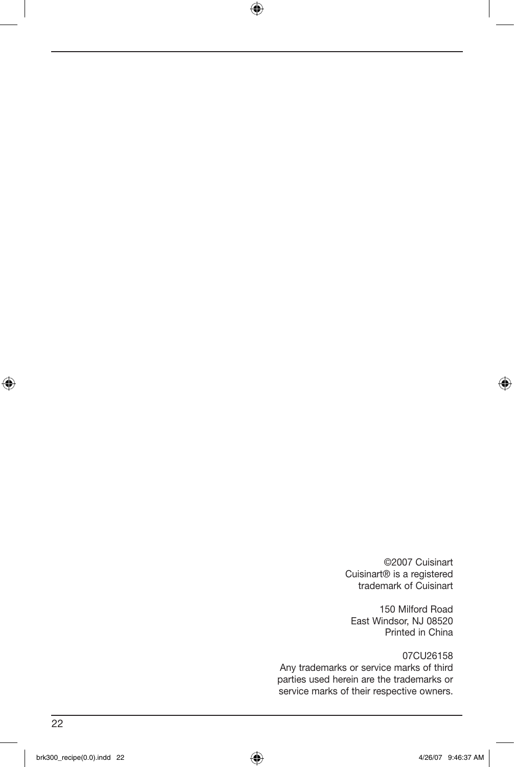©2007 Cuisinart Cuisinart® is a registered trademark of Cuisinart

150 Milford Road East Windsor, NJ 08520 Printed in China

07CU26158 Any trademarks or service marks of third parties used herein are the trademarks or service marks of their respective owners.